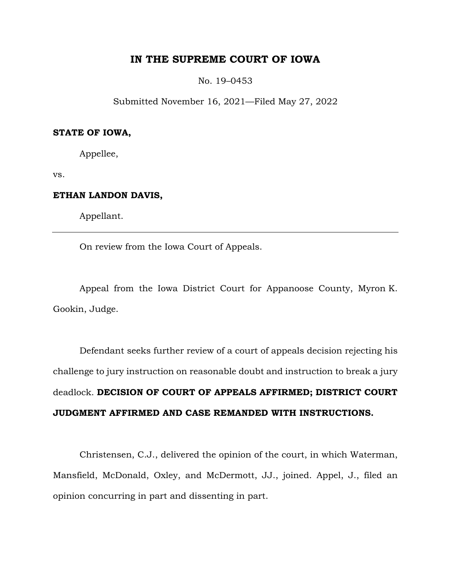# **IN THE SUPREME COURT OF IOWA**

No. 19–0453

Submitted November 16, 2021—Filed May 27, 2022

### **STATE OF IOWA,**

Appellee,

vs.

## **ETHAN LANDON DAVIS,**

Appellant.

On review from the Iowa Court of Appeals.

Appeal from the Iowa District Court for Appanoose County, Myron K. Gookin, Judge.

Defendant seeks further review of a court of appeals decision rejecting his challenge to jury instruction on reasonable doubt and instruction to break a jury deadlock. **DECISION OF COURT OF APPEALS AFFIRMED; DISTRICT COURT JUDGMENT AFFIRMED AND CASE REMANDED WITH INSTRUCTIONS.** 

Christensen, C.J., delivered the opinion of the court, in which Waterman, Mansfield, McDonald, Oxley, and McDermott, JJ., joined. Appel, J., filed an opinion concurring in part and dissenting in part.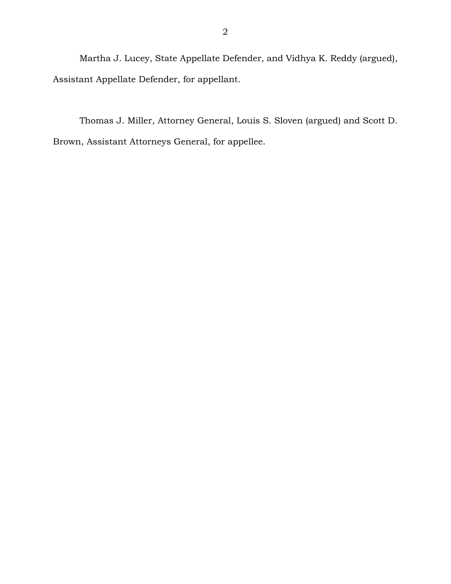Martha J. Lucey, State Appellate Defender, and Vidhya K. Reddy (argued), Assistant Appellate Defender, for appellant.

Thomas J. Miller, Attorney General, Louis S. Sloven (argued) and Scott D. Brown, Assistant Attorneys General, for appellee.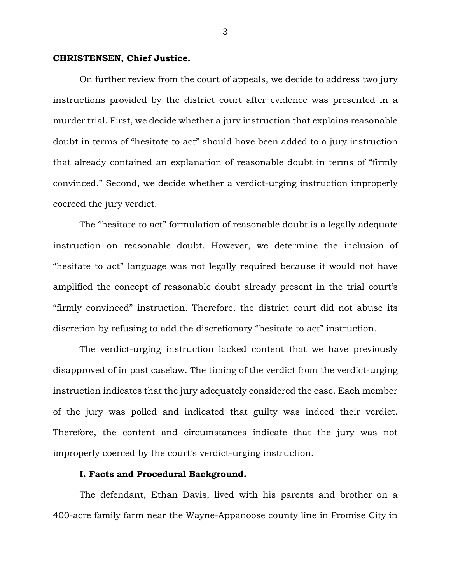## **CHRISTENSEN, Chief Justice.**

On further review from the court of appeals, we decide to address two jury instructions provided by the district court after evidence was presented in a murder trial. First, we decide whether a jury instruction that explains reasonable doubt in terms of "hesitate to act" should have been added to a jury instruction that already contained an explanation of reasonable doubt in terms of "firmly convinced." Second, we decide whether a verdict-urging instruction improperly coerced the jury verdict.

The "hesitate to act" formulation of reasonable doubt is a legally adequate instruction on reasonable doubt. However, we determine the inclusion of "hesitate to act" language was not legally required because it would not have amplified the concept of reasonable doubt already present in the trial court's "firmly convinced" instruction. Therefore, the district court did not abuse its discretion by refusing to add the discretionary "hesitate to act" instruction.

The verdict-urging instruction lacked content that we have previously disapproved of in past caselaw. The timing of the verdict from the verdict-urging instruction indicates that the jury adequately considered the case. Each member of the jury was polled and indicated that guilty was indeed their verdict. Therefore, the content and circumstances indicate that the jury was not improperly coerced by the court's verdict-urging instruction.

## **I. Facts and Procedural Background.**

The defendant, Ethan Davis, lived with his parents and brother on a 400-acre family farm near the Wayne-Appanoose county line in Promise City in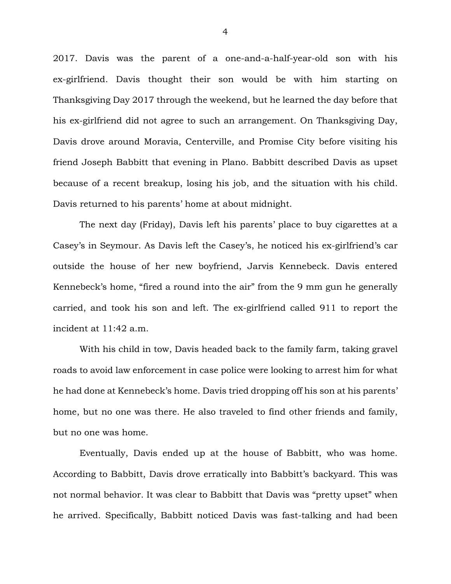2017. Davis was the parent of a one-and-a-half-year-old son with his ex-girlfriend. Davis thought their son would be with him starting on Thanksgiving Day 2017 through the weekend, but he learned the day before that his ex-girlfriend did not agree to such an arrangement. On Thanksgiving Day, Davis drove around Moravia, Centerville, and Promise City before visiting his friend Joseph Babbitt that evening in Plano. Babbitt described Davis as upset because of a recent breakup, losing his job, and the situation with his child. Davis returned to his parents' home at about midnight.

The next day (Friday), Davis left his parents' place to buy cigarettes at a Casey's in Seymour. As Davis left the Casey's, he noticed his ex-girlfriend's car outside the house of her new boyfriend, Jarvis Kennebeck. Davis entered Kennebeck's home, "fired a round into the air" from the 9 mm gun he generally carried, and took his son and left. The ex-girlfriend called 911 to report the incident at 11:42 a.m.

With his child in tow, Davis headed back to the family farm, taking gravel roads to avoid law enforcement in case police were looking to arrest him for what he had done at Kennebeck's home. Davis tried dropping off his son at his parents' home, but no one was there. He also traveled to find other friends and family, but no one was home.

Eventually, Davis ended up at the house of Babbitt, who was home. According to Babbitt, Davis drove erratically into Babbitt's backyard. This was not normal behavior. It was clear to Babbitt that Davis was "pretty upset" when he arrived. Specifically, Babbitt noticed Davis was fast-talking and had been

4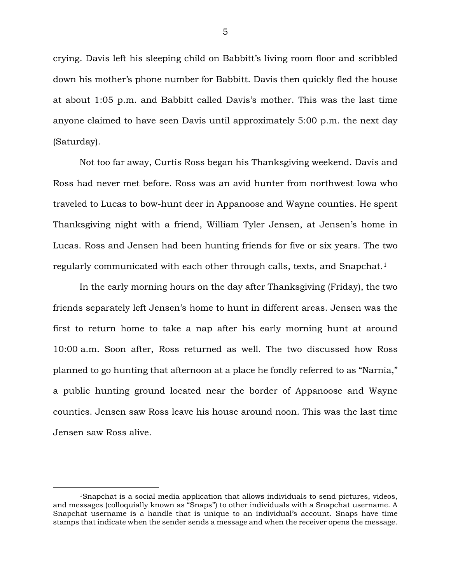crying. Davis left his sleeping child on Babbitt's living room floor and scribbled down his mother's phone number for Babbitt. Davis then quickly fled the house at about 1:05 p.m. and Babbitt called Davis's mother. This was the last time anyone claimed to have seen Davis until approximately 5:00 p.m. the next day (Saturday).

Not too far away, Curtis Ross began his Thanksgiving weekend. Davis and Ross had never met before. Ross was an avid hunter from northwest Iowa who traveled to Lucas to bow-hunt deer in Appanoose and Wayne counties. He spent Thanksgiving night with a friend, William Tyler Jensen, at Jensen's home in Lucas. Ross and Jensen had been hunting friends for five or six years. The two regularly communicated with each other through calls, texts, and Snapchat.<sup>1</sup>

In the early morning hours on the day after Thanksgiving (Friday), the two friends separately left Jensen's home to hunt in different areas. Jensen was the first to return home to take a nap after his early morning hunt at around 10:00 a.m. Soon after, Ross returned as well. The two discussed how Ross planned to go hunting that afternoon at a place he fondly referred to as "Narnia," a public hunting ground located near the border of Appanoose and Wayne counties. Jensen saw Ross leave his house around noon. This was the last time Jensen saw Ross alive.

<sup>1</sup>Snapchat is a social media application that allows individuals to send pictures, videos, and messages (colloquially known as "Snaps") to other individuals with a Snapchat username. A Snapchat username is a handle that is unique to an individual's account. Snaps have time stamps that indicate when the sender sends a message and when the receiver opens the message.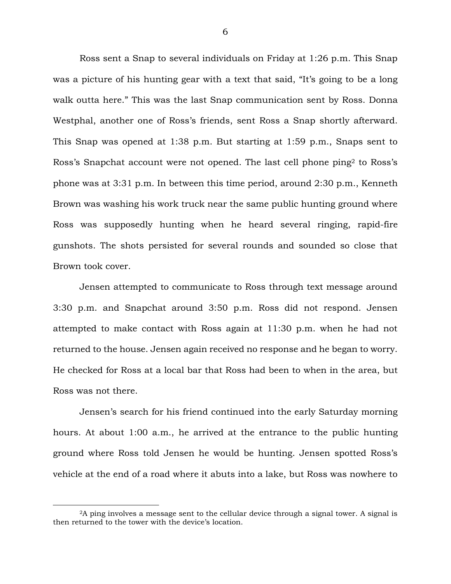Ross sent a Snap to several individuals on Friday at 1:26 p.m. This Snap was a picture of his hunting gear with a text that said, "It's going to be a long walk outta here." This was the last Snap communication sent by Ross. Donna Westphal, another one of Ross's friends, sent Ross a Snap shortly afterward. This Snap was opened at 1:38 p.m. But starting at 1:59 p.m., Snaps sent to Ross's Snapchat account were not opened. The last cell phone ping2 to Ross's phone was at 3:31 p.m. In between this time period, around 2:30 p.m., Kenneth Brown was washing his work truck near the same public hunting ground where Ross was supposedly hunting when he heard several ringing, rapid-fire gunshots. The shots persisted for several rounds and sounded so close that Brown took cover.

Jensen attempted to communicate to Ross through text message around 3:30 p.m. and Snapchat around 3:50 p.m. Ross did not respond. Jensen attempted to make contact with Ross again at 11:30 p.m. when he had not returned to the house. Jensen again received no response and he began to worry. He checked for Ross at a local bar that Ross had been to when in the area, but Ross was not there.

Jensen's search for his friend continued into the early Saturday morning hours. At about 1:00 a.m., he arrived at the entrance to the public hunting ground where Ross told Jensen he would be hunting. Jensen spotted Ross's vehicle at the end of a road where it abuts into a lake, but Ross was nowhere to

<sup>2</sup>A ping involves a message sent to the cellular device through a signal tower. A signal is then returned to the tower with the device's location.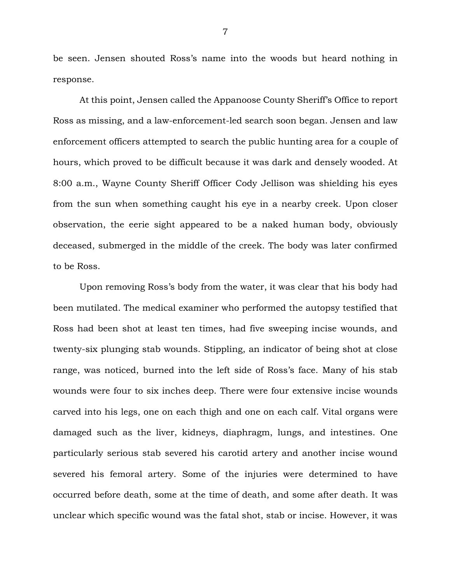be seen. Jensen shouted Ross's name into the woods but heard nothing in response.

At this point, Jensen called the Appanoose County Sheriff's Office to report Ross as missing, and a law-enforcement-led search soon began. Jensen and law enforcement officers attempted to search the public hunting area for a couple of hours, which proved to be difficult because it was dark and densely wooded. At 8:00 a.m., Wayne County Sheriff Officer Cody Jellison was shielding his eyes from the sun when something caught his eye in a nearby creek. Upon closer observation, the eerie sight appeared to be a naked human body, obviously deceased, submerged in the middle of the creek. The body was later confirmed to be Ross.

Upon removing Ross's body from the water, it was clear that his body had been mutilated. The medical examiner who performed the autopsy testified that Ross had been shot at least ten times, had five sweeping incise wounds, and twenty-six plunging stab wounds. Stippling, an indicator of being shot at close range, was noticed, burned into the left side of Ross's face. Many of his stab wounds were four to six inches deep. There were four extensive incise wounds carved into his legs, one on each thigh and one on each calf. Vital organs were damaged such as the liver, kidneys, diaphragm, lungs, and intestines. One particularly serious stab severed his carotid artery and another incise wound severed his femoral artery. Some of the injuries were determined to have occurred before death, some at the time of death, and some after death. It was unclear which specific wound was the fatal shot, stab or incise. However, it was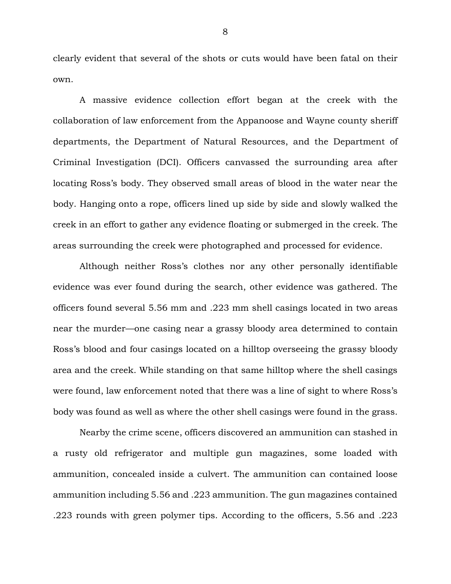clearly evident that several of the shots or cuts would have been fatal on their own.

A massive evidence collection effort began at the creek with the collaboration of law enforcement from the Appanoose and Wayne county sheriff departments, the Department of Natural Resources, and the Department of Criminal Investigation (DCI). Officers canvassed the surrounding area after locating Ross's body. They observed small areas of blood in the water near the body. Hanging onto a rope, officers lined up side by side and slowly walked the creek in an effort to gather any evidence floating or submerged in the creek. The areas surrounding the creek were photographed and processed for evidence.

Although neither Ross's clothes nor any other personally identifiable evidence was ever found during the search, other evidence was gathered. The officers found several 5.56 mm and .223 mm shell casings located in two areas near the murder—one casing near a grassy bloody area determined to contain Ross's blood and four casings located on a hilltop overseeing the grassy bloody area and the creek. While standing on that same hilltop where the shell casings were found, law enforcement noted that there was a line of sight to where Ross's body was found as well as where the other shell casings were found in the grass.

Nearby the crime scene, officers discovered an ammunition can stashed in a rusty old refrigerator and multiple gun magazines, some loaded with ammunition, concealed inside a culvert. The ammunition can contained loose ammunition including 5.56 and .223 ammunition. The gun magazines contained .223 rounds with green polymer tips. According to the officers, 5.56 and .223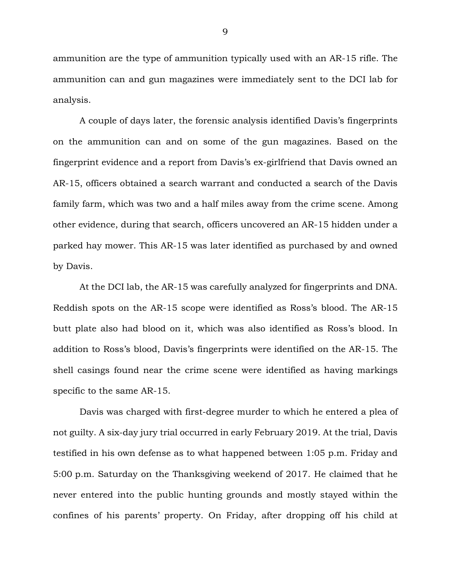ammunition are the type of ammunition typically used with an AR-15 rifle. The ammunition can and gun magazines were immediately sent to the DCI lab for analysis.

A couple of days later, the forensic analysis identified Davis's fingerprints on the ammunition can and on some of the gun magazines. Based on the fingerprint evidence and a report from Davis's ex-girlfriend that Davis owned an AR-15, officers obtained a search warrant and conducted a search of the Davis family farm, which was two and a half miles away from the crime scene. Among other evidence, during that search, officers uncovered an AR-15 hidden under a parked hay mower. This AR-15 was later identified as purchased by and owned by Davis.

At the DCI lab, the AR-15 was carefully analyzed for fingerprints and DNA. Reddish spots on the AR-15 scope were identified as Ross's blood. The AR-15 butt plate also had blood on it, which was also identified as Ross's blood. In addition to Ross's blood, Davis's fingerprints were identified on the AR-15. The shell casings found near the crime scene were identified as having markings specific to the same AR-15.

Davis was charged with first-degree murder to which he entered a plea of not guilty. A six-day jury trial occurred in early February 2019. At the trial, Davis testified in his own defense as to what happened between 1:05 p.m. Friday and 5:00 p.m. Saturday on the Thanksgiving weekend of 2017. He claimed that he never entered into the public hunting grounds and mostly stayed within the confines of his parents' property. On Friday, after dropping off his child at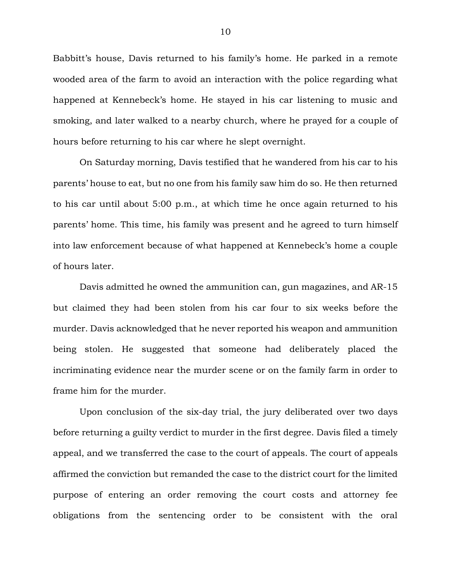Babbitt's house, Davis returned to his family's home. He parked in a remote wooded area of the farm to avoid an interaction with the police regarding what happened at Kennebeck's home. He stayed in his car listening to music and smoking, and later walked to a nearby church, where he prayed for a couple of hours before returning to his car where he slept overnight.

On Saturday morning, Davis testified that he wandered from his car to his parents' house to eat, but no one from his family saw him do so. He then returned to his car until about 5:00 p.m., at which time he once again returned to his parents' home. This time, his family was present and he agreed to turn himself into law enforcement because of what happened at Kennebeck's home a couple of hours later.

Davis admitted he owned the ammunition can, gun magazines, and AR-15 but claimed they had been stolen from his car four to six weeks before the murder. Davis acknowledged that he never reported his weapon and ammunition being stolen. He suggested that someone had deliberately placed the incriminating evidence near the murder scene or on the family farm in order to frame him for the murder.

Upon conclusion of the six-day trial, the jury deliberated over two days before returning a guilty verdict to murder in the first degree. Davis filed a timely appeal, and we transferred the case to the court of appeals. The court of appeals affirmed the conviction but remanded the case to the district court for the limited purpose of entering an order removing the court costs and attorney fee obligations from the sentencing order to be consistent with the oral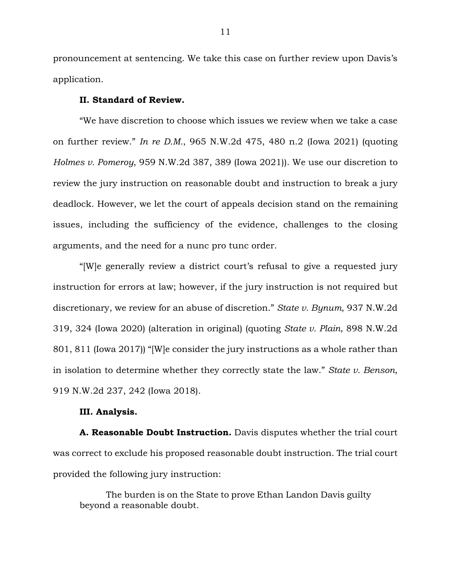pronouncement at sentencing. We take this case on further review upon Davis's application.

### **II. Standard of Review.**

"We have discretion to choose which issues we review when we take a case on further review." *In re D.M.*, 965 N.W.2d 475, 480 n.2 (Iowa 2021) (quoting *Holmes v. Pomeroy*, 959 N.W.2d 387, 389 (Iowa 2021)). We use our discretion to review the jury instruction on reasonable doubt and instruction to break a jury deadlock. However, we let the court of appeals decision stand on the remaining issues, including the sufficiency of the evidence, challenges to the closing arguments, and the need for a nunc pro tunc order.

"[W]e generally review a district court's refusal to give a requested jury instruction for errors at law; however, if the jury instruction is not required but discretionary, we review for an abuse of discretion." *State v. Bynum*, 937 N.W.2d 319, 324 (Iowa 2020) (alteration in original) (quoting *State v. Plain*, 898 N.W.2d 801, 811 (Iowa 2017)) "[W]e consider the jury instructions as a whole rather than in isolation to determine whether they correctly state the law." *State v. Benson*, 919 N.W.2d 237, 242 (Iowa 2018).

## **III. Analysis.**

**A. Reasonable Doubt Instruction.** Davis disputes whether the trial court was correct to exclude his proposed reasonable doubt instruction. The trial court provided the following jury instruction:

The burden is on the State to prove Ethan Landon Davis guilty beyond a reasonable doubt.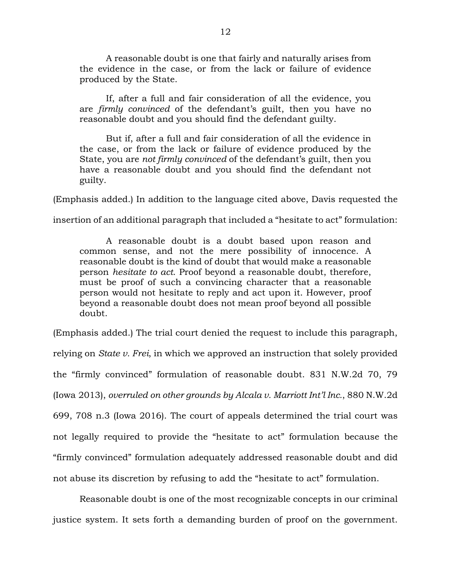A reasonable doubt is one that fairly and naturally arises from the evidence in the case, or from the lack or failure of evidence produced by the State.

If, after a full and fair consideration of all the evidence, you are *firmly convinced* of the defendant's guilt, then you have no reasonable doubt and you should find the defendant guilty.

But if, after a full and fair consideration of all the evidence in the case, or from the lack or failure of evidence produced by the State, you are *not firmly convinced* of the defendant's guilt, then you have a reasonable doubt and you should find the defendant not guilty.

(Emphasis added.) In addition to the language cited above, Davis requested the

insertion of an additional paragraph that included a "hesitate to act" formulation:

A reasonable doubt is a doubt based upon reason and common sense, and not the mere possibility of innocence. A reasonable doubt is the kind of doubt that would make a reasonable person *hesitate to act*. Proof beyond a reasonable doubt, therefore, must be proof of such a convincing character that a reasonable person would not hesitate to reply and act upon it. However, proof beyond a reasonable doubt does not mean proof beyond all possible doubt.

(Emphasis added.) The trial court denied the request to include this paragraph, relying on *State v. Frei*, in which we approved an instruction that solely provided the "firmly convinced" formulation of reasonable doubt. 831 N.W.2d 70, 79 (Iowa 2013), *overruled on other grounds by Alcala v. Marriott Int'l Inc.*, 880 N.W.2d 699, 708 n.3 (Iowa 2016). The court of appeals determined the trial court was not legally required to provide the "hesitate to act" formulation because the "firmly convinced" formulation adequately addressed reasonable doubt and did not abuse its discretion by refusing to add the "hesitate to act" formulation.

Reasonable doubt is one of the most recognizable concepts in our criminal justice system. It sets forth a demanding burden of proof on the government.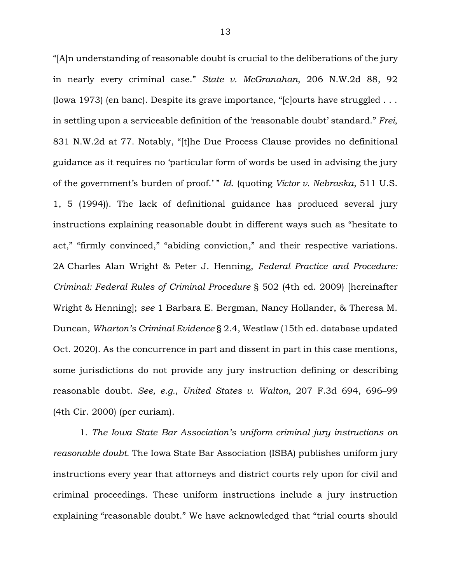"[A]n understanding of reasonable doubt is crucial to the deliberations of the jury in nearly every criminal case." *State v. McGranahan*, 206 N.W.2d 88, 92 (Iowa 1973) (en banc). Despite its grave importance, "[c]ourts have struggled . . . in settling upon a serviceable definition of the 'reasonable doubt' standard." *Frei*, 831 N.W.2d at 77. Notably, "[t]he Due Process Clause provides no definitional guidance as it requires no 'particular form of words be used in advising the jury of the government's burden of proof.' " *Id.* (quoting *Victor v. Nebraska*, 511 U.S. 1, 5 (1994)). The lack of definitional guidance has produced several jury instructions explaining reasonable doubt in different ways such as "hesitate to act," "firmly convinced," "abiding conviction," and their respective variations. 2A Charles Alan Wright & Peter J. Henning, *Federal Practice and Procedure: Criminal: Federal Rules of Criminal Procedure* § 502 (4th ed. 2009) [hereinafter Wright & Henning]; *see* 1 Barbara E. Bergman, Nancy Hollander, & Theresa M. Duncan, *Wharton's Criminal Evidence* § 2.4, Westlaw (15th ed. database updated Oct. 2020). As the concurrence in part and dissent in part in this case mentions, some jurisdictions do not provide any jury instruction defining or describing reasonable doubt. *See, e.g.*, *United States v. Walton*, 207 F.3d 694, 696–99 (4th Cir. 2000) (per curiam).

1. *The Iowa State Bar Association's uniform criminal jury instructions on reasonable doubt.* The Iowa State Bar Association (ISBA) publishes uniform jury instructions every year that attorneys and district courts rely upon for civil and criminal proceedings. These uniform instructions include a jury instruction explaining "reasonable doubt." We have acknowledged that "trial courts should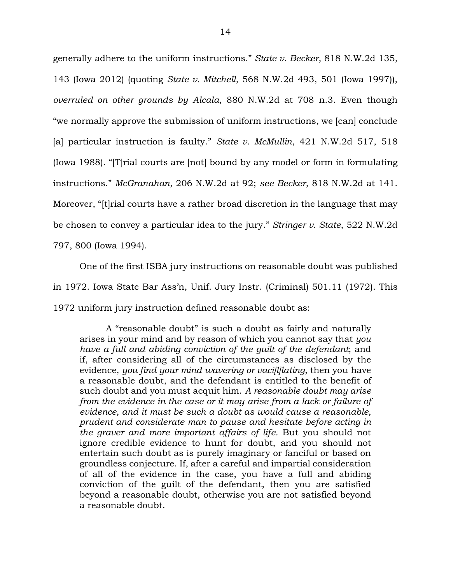generally adhere to the uniform instructions." *State v. Becker*, 818 N.W.2d 135, 143 (Iowa 2012) (quoting *State v. Mitchell*, 568 N.W.2d 493, 501 (Iowa 1997)), *overruled on other grounds by Alcala*, 880 N.W.2d at 708 n.3. Even though "we normally approve the submission of uniform instructions, we [can] conclude [a] particular instruction is faulty." *State v. McMullin*, 421 N.W.2d 517, 518 (Iowa 1988). "[T]rial courts are [not] bound by any model or form in formulating instructions." *McGranahan*, 206 N.W.2d at 92; *see Becker*, 818 N.W.2d at 141. Moreover, "[t]rial courts have a rather broad discretion in the language that may be chosen to convey a particular idea to the jury." *Stringer v. State*, 522 N.W.2d 797, 800 (Iowa 1994).

One of the first ISBA jury instructions on reasonable doubt was published in 1972. Iowa State Bar Ass'n, Unif. Jury Instr. (Criminal) 501.11 (1972). This 1972 uniform jury instruction defined reasonable doubt as:

A "reasonable doubt" is such a doubt as fairly and naturally arises in your mind and by reason of which you cannot say that *you have a full and abiding conviction of the guilt of the defendant*; and if, after considering all of the circumstances as disclosed by the evidence, *you find your mind wavering or vaci[l]lating*, then you have a reasonable doubt, and the defendant is entitled to the benefit of such doubt and you must acquit him. *A reasonable doubt may arise from the evidence in the case or it may arise from a lack or failure of evidence, and it must be such a doubt as would cause a reasonable, prudent and considerate man to pause and hesitate before acting in the graver and more important affairs of life.* But you should not ignore credible evidence to hunt for doubt, and you should not entertain such doubt as is purely imaginary or fanciful or based on groundless conjecture. If, after a careful and impartial consideration of all of the evidence in the case, you have a full and abiding conviction of the guilt of the defendant, then you are satisfied beyond a reasonable doubt, otherwise you are not satisfied beyond a reasonable doubt.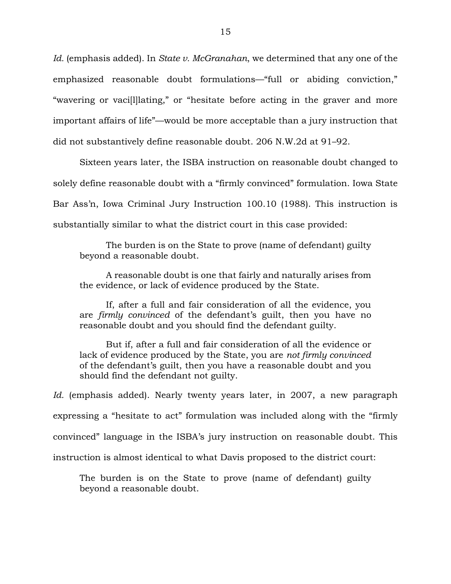*Id.* (emphasis added). In *State v. McGranahan*, we determined that any one of the emphasized reasonable doubt formulations—"full or abiding conviction," "wavering or vaci[l]lating," or "hesitate before acting in the graver and more important affairs of life"—would be more acceptable than a jury instruction that did not substantively define reasonable doubt. 206 N.W.2d at 91–92.

Sixteen years later, the ISBA instruction on reasonable doubt changed to solely define reasonable doubt with a "firmly convinced" formulation. Iowa State Bar Ass'n, Iowa Criminal Jury Instruction 100.10 (1988). This instruction is substantially similar to what the district court in this case provided:

The burden is on the State to prove (name of defendant) guilty beyond a reasonable doubt.

A reasonable doubt is one that fairly and naturally arises from the evidence, or lack of evidence produced by the State.

If, after a full and fair consideration of all the evidence, you are *firmly convinced* of the defendant's guilt, then you have no reasonable doubt and you should find the defendant guilty.

But if, after a full and fair consideration of all the evidence or lack of evidence produced by the State, you are *not firmly convinced* of the defendant's guilt, then you have a reasonable doubt and you should find the defendant not guilty.

*Id.* (emphasis added). Nearly twenty years later, in 2007, a new paragraph expressing a "hesitate to act" formulation was included along with the "firmly convinced" language in the ISBA's jury instruction on reasonable doubt. This instruction is almost identical to what Davis proposed to the district court:

The burden is on the State to prove (name of defendant) guilty beyond a reasonable doubt.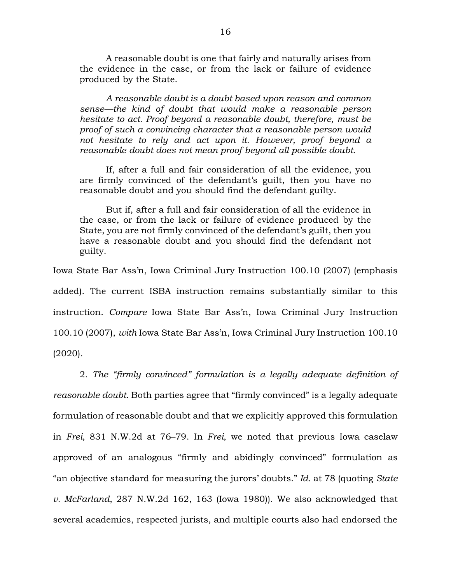A reasonable doubt is one that fairly and naturally arises from the evidence in the case, or from the lack or failure of evidence produced by the State.

*A reasonable doubt is a doubt based upon reason and common sense—the kind of doubt that would make a reasonable person hesitate to act. Proof beyond a reasonable doubt, therefore, must be proof of such a convincing character that a reasonable person would not hesitate to rely and act upon it. However, proof beyond a reasonable doubt does not mean proof beyond all possible doubt.* 

If, after a full and fair consideration of all the evidence, you are firmly convinced of the defendant's guilt, then you have no reasonable doubt and you should find the defendant guilty.

But if, after a full and fair consideration of all the evidence in the case, or from the lack or failure of evidence produced by the State, you are not firmly convinced of the defendant's guilt, then you have a reasonable doubt and you should find the defendant not guilty.

Iowa State Bar Ass'n, Iowa Criminal Jury Instruction 100.10 (2007) (emphasis added). The current ISBA instruction remains substantially similar to this instruction. *Compare* Iowa State Bar Ass'n, Iowa Criminal Jury Instruction 100.10 (2007), *with* Iowa State Bar Ass'n, Iowa Criminal Jury Instruction 100.10 (2020).

2. *The "firmly convinced" formulation is a legally adequate definition of reasonable doubt.* Both parties agree that "firmly convinced" is a legally adequate formulation of reasonable doubt and that we explicitly approved this formulation in *Frei*, 831 N.W.2d at 76–79. In *Frei*, we noted that previous Iowa caselaw approved of an analogous "firmly and abidingly convinced" formulation as "an objective standard for measuring the jurors' doubts." *Id.* at 78 (quoting *State v. McFarland*, 287 N.W.2d 162, 163 (Iowa 1980)). We also acknowledged that several academics, respected jurists, and multiple courts also had endorsed the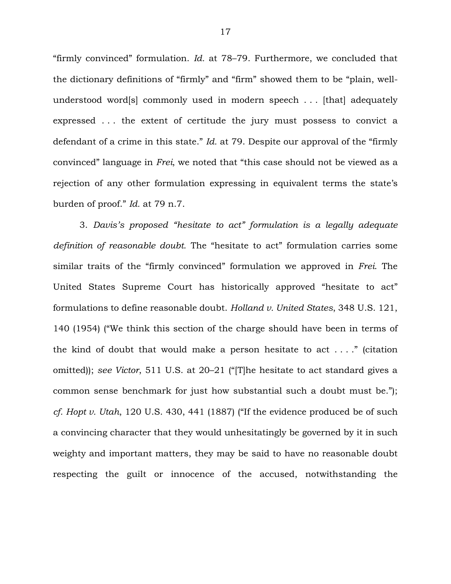"firmly convinced" formulation. *Id.* at 78–79. Furthermore, we concluded that the dictionary definitions of "firmly" and "firm" showed them to be "plain, wellunderstood word[s] commonly used in modern speech . . . [that] adequately expressed . . . the extent of certitude the jury must possess to convict a defendant of a crime in this state." *Id.* at 79. Despite our approval of the "firmly convinced" language in *Frei*, we noted that "this case should not be viewed as a rejection of any other formulation expressing in equivalent terms the state's burden of proof." *Id.* at 79 n.7.

3. *Davis's proposed "hesitate to act" formulation is a legally adequate definition of reasonable doubt.* The "hesitate to act" formulation carries some similar traits of the "firmly convinced" formulation we approved in *Frei*. The United States Supreme Court has historically approved "hesitate to act" formulations to define reasonable doubt. *Holland v. United States*, 348 U.S. 121, 140 (1954) ("We think this section of the charge should have been in terms of the kind of doubt that would make a person hesitate to act  $\dots$ ." (citation omitted)); *see Victor*, 511 U.S. at 20–21 ("[T]he hesitate to act standard gives a common sense benchmark for just how substantial such a doubt must be."); *cf. Hopt v. Utah*, 120 U.S. 430, 441 (1887) ("If the evidence produced be of such a convincing character that they would unhesitatingly be governed by it in such weighty and important matters, they may be said to have no reasonable doubt respecting the guilt or innocence of the accused, notwithstanding the

17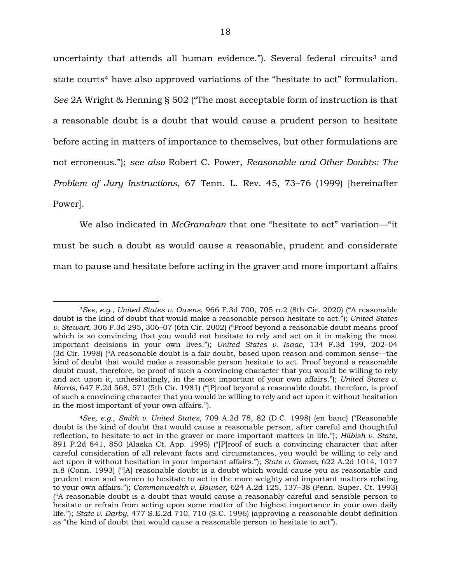uncertainty that attends all human evidence."). Several federal circuits<sup>3</sup> and state courts4 have also approved variations of the "hesitate to act" formulation. *See* 2A Wright & Henning § 502 ("The most acceptable form of instruction is that a reasonable doubt is a doubt that would cause a prudent person to hesitate before acting in matters of importance to themselves, but other formulations are not erroneous."); *see also* Robert C. Power, *Reasonable and Other Doubts: The Problem of Jury Instructions*, 67 Tenn. L. Rev. 45, 73–76 (1999) [hereinafter Power].

We also indicated in *McGranahan* that one "hesitate to act" variation—"it must be such a doubt as would cause a reasonable, prudent and considerate man to pause and hesitate before acting in the graver and more important affairs

<sup>3</sup>*See, e.g.*, *United States v. Owens*, 966 F.3d 700, 705 n.2 (8th Cir. 2020) ("A reasonable doubt is the kind of doubt that would make a reasonable person hesitate to act."); *United States v. Stewart*, 306 F.3d 295, 306–07 (6th Cir. 2002) ("Proof beyond a reasonable doubt means proof which is so convincing that you would not hesitate to rely and act on it in making the most important decisions in your own lives."); *United States v. Isaac*, 134 F.3d 199, 202–04 (3d Cir. 1998) ("A reasonable doubt is a fair doubt, based upon reason and common sense—the kind of doubt that would make a reasonable person hesitate to act. Proof beyond a reasonable doubt must, therefore, be proof of such a convincing character that you would be willing to rely and act upon it, unhesitatingly, in the most important of your own affairs."); *United States v. Morris*, 647 F.2d 568, 571 (5th Cir. 1981) ("[P]roof beyond a reasonable doubt, therefore, is proof of such a convincing character that you would be willing to rely and act upon it without hesitation in the most important of your own affairs.").

<sup>4</sup>*See, e.g.*, *Smith v. United States*, 709 A.2d 78, 82 (D.C. 1998) (en banc) ("Reasonable doubt is the kind of doubt that would cause a reasonable person, after careful and thoughtful reflection, to hesitate to act in the graver or more important matters in life."); *Hilbish v. State*, 891 P.2d 841, 850 (Alaska Ct. App. 1995) ("|P|roof of such a convincing character that after careful consideration of all relevant facts and circumstances, you would be willing to rely and act upon it without hesitation in your important affairs."); *State v. Gomez*, 622 A.2d 1014, 1017 n.8 (Conn. 1993) ("[A] reasonable doubt is a doubt which would cause you as reasonable and prudent men and women to hesitate to act in the more weighty and important matters relating to your own affairs."); *Commonwealth v. Bowser*, 624 A.2d 125, 137–38 (Penn. Super. Ct. 1993) ("A reasonable doubt is a doubt that would cause a reasonably careful and sensible person to hesitate or refrain from acting upon some matter of the highest importance in your own daily life."); *State v. Darby*, 477 S.E.2d 710, 710 (S.C. 1996) (approving a reasonable doubt definition as "the kind of doubt that would cause a reasonable person to hesitate to act").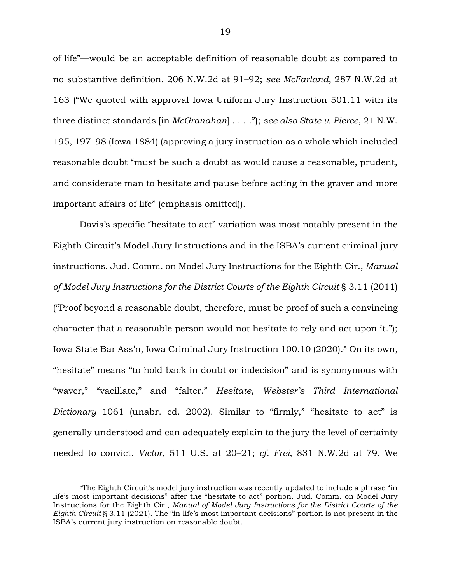of life"—would be an acceptable definition of reasonable doubt as compared to no substantive definition. 206 N.W.2d at 91–92; *see McFarland*, 287 N.W.2d at 163 ("We quoted with approval Iowa Uniform Jury Instruction 501.11 with its three distinct standards [in *McGranahan*] . . . ."); *see also State v. Pierce*, 21 N.W. 195, 197–98 (Iowa 1884) (approving a jury instruction as a whole which included reasonable doubt "must be such a doubt as would cause a reasonable, prudent, and considerate man to hesitate and pause before acting in the graver and more important affairs of life" (emphasis omitted)).

Davis's specific "hesitate to act" variation was most notably present in the Eighth Circuit's Model Jury Instructions and in the ISBA's current criminal jury instructions. Jud. Comm. on Model Jury Instructions for the Eighth Cir., *Manual of Model Jury Instructions for the District Courts of the Eighth Circuit* § 3.11 (2011) ("Proof beyond a reasonable doubt, therefore, must be proof of such a convincing character that a reasonable person would not hesitate to rely and act upon it."); Iowa State Bar Ass'n, Iowa Criminal Jury Instruction 100.10 (2020).5 On its own, "hesitate" means "to hold back in doubt or indecision" and is synonymous with "waver," "vacillate," and "falter." *Hesitate*, *Webster's Third International Dictionary* 1061 (unabr. ed. 2002). Similar to "firmly," "hesitate to act" is generally understood and can adequately explain to the jury the level of certainty needed to convict. *Victor*, 511 U.S. at 20–21; *cf. Frei*, 831 N.W.2d at 79. We

<sup>5</sup>The Eighth Circuit's model jury instruction was recently updated to include a phrase "in life's most important decisions" after the "hesitate to act" portion. Jud. Comm. on Model Jury Instructions for the Eighth Cir., *Manual of Model Jury Instructions for the District Courts of the Eighth Circuit* § 3.11 (2021). The "in life's most important decisions" portion is not present in the ISBA's current jury instruction on reasonable doubt.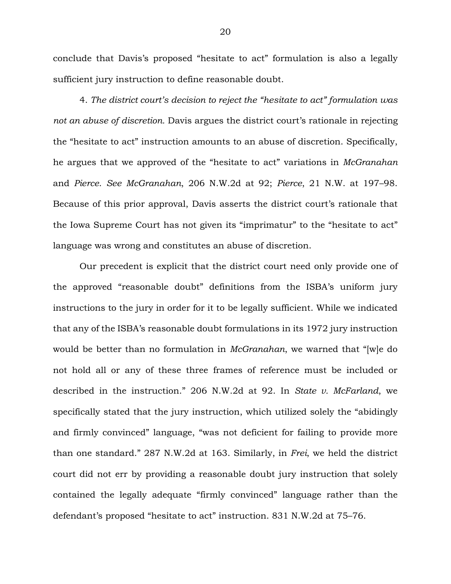conclude that Davis's proposed "hesitate to act" formulation is also a legally sufficient jury instruction to define reasonable doubt.

4. *The district court's decision to reject the "hesitate to act" formulation was not an abuse of discretion.* Davis argues the district court's rationale in rejecting the "hesitate to act" instruction amounts to an abuse of discretion. Specifically, he argues that we approved of the "hesitate to act" variations in *McGranahan* and *Pierce*. *See McGranahan*, 206 N.W.2d at 92; *Pierce*, 21 N.W. at 197–98. Because of this prior approval, Davis asserts the district court's rationale that the Iowa Supreme Court has not given its "imprimatur" to the "hesitate to act" language was wrong and constitutes an abuse of discretion.

Our precedent is explicit that the district court need only provide one of the approved "reasonable doubt" definitions from the ISBA's uniform jury instructions to the jury in order for it to be legally sufficient. While we indicated that any of the ISBA's reasonable doubt formulations in its 1972 jury instruction would be better than no formulation in *McGranahan*, we warned that "[w]e do not hold all or any of these three frames of reference must be included or described in the instruction." 206 N.W.2d at 92. In *State v. McFarland*, we specifically stated that the jury instruction, which utilized solely the "abidingly and firmly convinced" language, "was not deficient for failing to provide more than one standard." 287 N.W.2d at 163. Similarly, in *Frei*, we held the district court did not err by providing a reasonable doubt jury instruction that solely contained the legally adequate "firmly convinced" language rather than the defendant's proposed "hesitate to act" instruction. 831 N.W.2d at 75–76.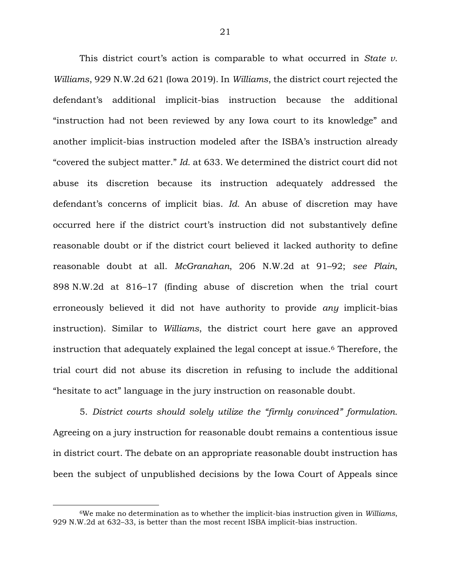This district court's action is comparable to what occurred in *State v. Williams*, 929 N.W.2d 621 (Iowa 2019). In *Williams*, the district court rejected the defendant's additional implicit-bias instruction because the additional "instruction had not been reviewed by any Iowa court to its knowledge" and another implicit-bias instruction modeled after the ISBA's instruction already "covered the subject matter." *Id.* at 633. We determined the district court did not abuse its discretion because its instruction adequately addressed the defendant's concerns of implicit bias. *Id.* An abuse of discretion may have occurred here if the district court's instruction did not substantively define reasonable doubt or if the district court believed it lacked authority to define reasonable doubt at all. *McGranahan*, 206 N.W.2d at 91–92; *see Plain*, 898 N.W.2d at 816–17 (finding abuse of discretion when the trial court erroneously believed it did not have authority to provide *any* implicit-bias instruction). Similar to *Williams*, the district court here gave an approved instruction that adequately explained the legal concept at issue.6 Therefore, the trial court did not abuse its discretion in refusing to include the additional "hesitate to act" language in the jury instruction on reasonable doubt.

5. *District courts should solely utilize the "firmly convinced" formulation.* Agreeing on a jury instruction for reasonable doubt remains a contentious issue in district court. The debate on an appropriate reasonable doubt instruction has been the subject of unpublished decisions by the Iowa Court of Appeals since

<sup>6</sup>We make no determination as to whether the implicit-bias instruction given in *Williams*, 929 N.W.2d at 632–33, is better than the most recent ISBA implicit-bias instruction.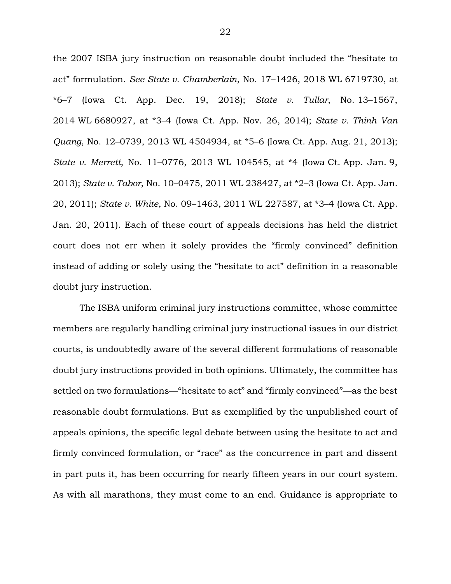the 2007 ISBA jury instruction on reasonable doubt included the "hesitate to act" formulation. *See State v. Chamberlain*, No. 17–1426, 2018 WL 6719730, at \*6–7 (Iowa Ct. App. Dec. 19, 2018); *State v. Tullar*, No. 13–1567, 2014 WL 6680927, at \*3–4 (Iowa Ct. App. Nov. 26, 2014); *State v. Thinh Van Quang*, No. 12–0739, 2013 WL 4504934, at \*5–6 (Iowa Ct. App. Aug. 21, 2013); *State v. Merrett*, No. 11–0776, 2013 WL 104545, at \*4 (Iowa Ct. App. Jan. 9, 2013); *State v. Tabor*, No. 10–0475, 2011 WL 238427, at \*2–3 (Iowa Ct. App. Jan. 20, 2011); *State v. White*, No. 09–1463, 2011 WL 227587, at \*3–4 (Iowa Ct. App. Jan. 20, 2011). Each of these court of appeals decisions has held the district court does not err when it solely provides the "firmly convinced" definition instead of adding or solely using the "hesitate to act" definition in a reasonable doubt jury instruction.

The ISBA uniform criminal jury instructions committee, whose committee members are regularly handling criminal jury instructional issues in our district courts, is undoubtedly aware of the several different formulations of reasonable doubt jury instructions provided in both opinions. Ultimately, the committee has settled on two formulations—"hesitate to act" and "firmly convinced"—as the best reasonable doubt formulations. But as exemplified by the unpublished court of appeals opinions, the specific legal debate between using the hesitate to act and firmly convinced formulation, or "race" as the concurrence in part and dissent in part puts it, has been occurring for nearly fifteen years in our court system. As with all marathons, they must come to an end. Guidance is appropriate to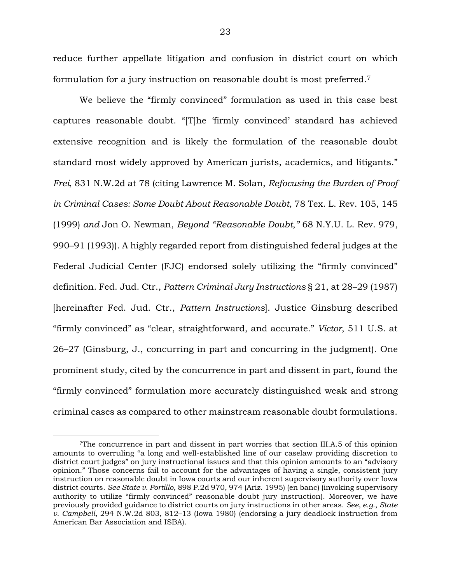reduce further appellate litigation and confusion in district court on which formulation for a jury instruction on reasonable doubt is most preferred.<sup>7</sup>

We believe the "firmly convinced" formulation as used in this case best captures reasonable doubt. "[T]he 'firmly convinced' standard has achieved extensive recognition and is likely the formulation of the reasonable doubt standard most widely approved by American jurists, academics, and litigants." *Frei*, 831 N.W.2d at 78 (citing Lawrence M. Solan, *Refocusing the Burden of Proof in Criminal Cases: Some Doubt About Reasonable Doubt*, 78 Tex. L. Rev. 105, 145 (1999) *and* Jon O. Newman, *Beyond "Reasonable Doubt*,*"* 68 N.Y.U. L. Rev. 979, 990–91 (1993)). A highly regarded report from distinguished federal judges at the Federal Judicial Center (FJC) endorsed solely utilizing the "firmly convinced" definition. Fed. Jud. Ctr., *Pattern Criminal Jury Instructions* § 21, at 28–29 (1987) [hereinafter Fed. Jud. Ctr., *Pattern Instructions*]. Justice Ginsburg described "firmly convinced" as "clear, straightforward, and accurate." *Victor*, 511 U.S. at 26–27 (Ginsburg, J., concurring in part and concurring in the judgment). One prominent study, cited by the concurrence in part and dissent in part, found the "firmly convinced" formulation more accurately distinguished weak and strong criminal cases as compared to other mainstream reasonable doubt formulations.

<sup>7</sup>The concurrence in part and dissent in part worries that section III.A.5 of this opinion amounts to overruling "a long and well-established line of our caselaw providing discretion to district court judges" on jury instructional issues and that this opinion amounts to an "advisory opinion." Those concerns fail to account for the advantages of having a single, consistent jury instruction on reasonable doubt in Iowa courts and our inherent supervisory authority over Iowa district courts. *See State v. Portillo*, 898 P.2d 970, 974 (Ariz. 1995) (en banc) (invoking supervisory authority to utilize "firmly convinced" reasonable doubt jury instruction). Moreover, we have previously provided guidance to district courts on jury instructions in other areas. *See, e.g.*, *State v. Campbell*, 294 N.W.2d 803, 812–13 (Iowa 1980) (endorsing a jury deadlock instruction from American Bar Association and ISBA).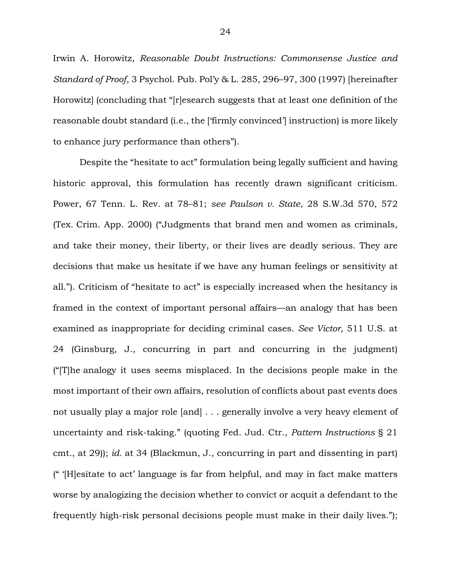Irwin A. Horowitz, *Reasonable Doubt Instructions: Commonsense Justice and Standard of Proof*, 3 Psychol. Pub. Pol'y & L. 285, 296–97, 300 (1997) [hereinafter Horowitz] (concluding that "[r]esearch suggests that at least one definition of the reasonable doubt standard (i.e., the ['firmly convinced'] instruction) is more likely to enhance jury performance than others").

Despite the "hesitate to act" formulation being legally sufficient and having historic approval, this formulation has recently drawn significant criticism. Power, 67 Tenn. L. Rev. at 78–81; *see Paulson v. State*, 28 S.W.3d 570, 572 (Tex. Crim. App. 2000) ("Judgments that brand men and women as criminals, and take their money, their liberty, or their lives are deadly serious. They are decisions that make us hesitate if we have any human feelings or sensitivity at all."). Criticism of "hesitate to act" is especially increased when the hesitancy is framed in the context of important personal affairs—an analogy that has been examined as inappropriate for deciding criminal cases. *See Victor*, 511 U.S. at 24 (Ginsburg, J., concurring in part and concurring in the judgment) ("[T]he analogy it uses seems misplaced. In the decisions people make in the most important of their own affairs, resolution of conflicts about past events does not usually play a major role [and] . . . generally involve a very heavy element of uncertainty and risk-taking." (quoting Fed. Jud. Ctr., *Pattern Instructions* § 21 cmt., at 29)); *id.* at 34 (Blackmun, J., concurring in part and dissenting in part) (" '[H]esitate to act' language is far from helpful, and may in fact make matters worse by analogizing the decision whether to convict or acquit a defendant to the frequently high-risk personal decisions people must make in their daily lives.");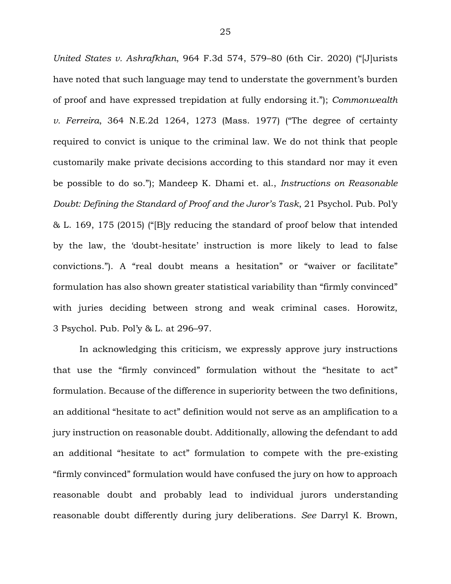*United States v. Ashrafkhan*, 964 F.3d 574, 579–80 (6th Cir. 2020) ("[J]urists have noted that such language may tend to understate the government's burden of proof and have expressed trepidation at fully endorsing it."); *Commonwealth v. Ferreira*, 364 N.E.2d 1264, 1273 (Mass. 1977) ("The degree of certainty required to convict is unique to the criminal law. We do not think that people customarily make private decisions according to this standard nor may it even be possible to do so."); Mandeep K. Dhami et. al., *Instructions on Reasonable Doubt: Defining the Standard of Proof and the Juror's Task*, 21 Psychol. Pub. Pol'y & L. 169, 175 (2015) ("[B]y reducing the standard of proof below that intended by the law, the 'doubt-hesitate' instruction is more likely to lead to false convictions."). A "real doubt means a hesitation" or "waiver or facilitate" formulation has also shown greater statistical variability than "firmly convinced" with juries deciding between strong and weak criminal cases. Horowitz, 3 Psychol. Pub. Pol'y & L. at 296–97.

In acknowledging this criticism, we expressly approve jury instructions that use the "firmly convinced" formulation without the "hesitate to act" formulation. Because of the difference in superiority between the two definitions, an additional "hesitate to act" definition would not serve as an amplification to a jury instruction on reasonable doubt. Additionally, allowing the defendant to add an additional "hesitate to act" formulation to compete with the pre-existing "firmly convinced" formulation would have confused the jury on how to approach reasonable doubt and probably lead to individual jurors understanding reasonable doubt differently during jury deliberations. *See* Darryl K. Brown,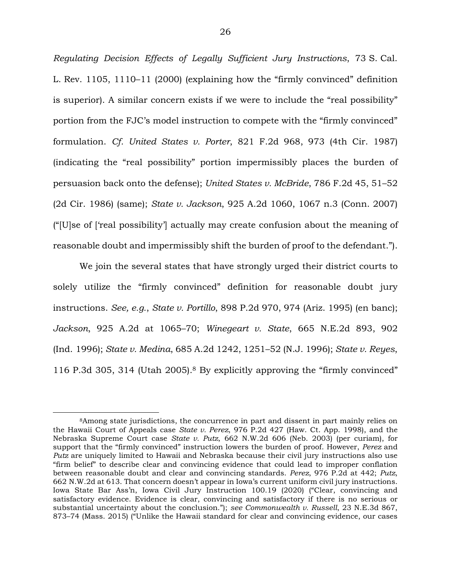*Regulating Decision Effects of Legally Sufficient Jury Instructions*, 73 S. Cal. L. Rev. 1105, 1110–11 (2000) (explaining how the "firmly convinced" definition is superior). A similar concern exists if we were to include the "real possibility" portion from the FJC's model instruction to compete with the "firmly convinced" formulation. *Cf. United States v. Porter*, 821 F.2d 968, 973 (4th Cir. 1987) (indicating the "real possibility" portion impermissibly places the burden of persuasion back onto the defense); *United States v. McBride*, 786 F.2d 45, 51–52 (2d Cir. 1986) (same); *State v. Jackson*, 925 A.2d 1060, 1067 n.3 (Conn. 2007) ("[U]se of ['real possibility'] actually may create confusion about the meaning of reasonable doubt and impermissibly shift the burden of proof to the defendant.").

We join the several states that have strongly urged their district courts to solely utilize the "firmly convinced" definition for reasonable doubt jury instructions. *See, e.g.*, *State v. Portillo*, 898 P.2d 970, 974 (Ariz. 1995) (en banc); *Jackson*, 925 A.2d at 1065–70; *Winegeart v. State*, 665 N.E.2d 893, 902 (Ind. 1996); *State v. Medina*, 685 A.2d 1242, 1251–52 (N.J. 1996); *State v. Reyes*, 116 P.3d 305, 314 (Utah 2005).8 By explicitly approving the "firmly convinced"

<sup>8</sup>Among state jurisdictions, the concurrence in part and dissent in part mainly relies on the Hawaii Court of Appeals case *State v. Perez*, 976 P.2d 427 (Haw. Ct. App. 1998), and the Nebraska Supreme Court case *State v. Putz*, 662 N.W.2d 606 (Neb. 2003) (per curiam), for support that the "firmly convinced" instruction lowers the burden of proof. However, *Perez* and *Putz* are uniquely limited to Hawaii and Nebraska because their civil jury instructions also use "firm belief" to describe clear and convincing evidence that could lead to improper conflation between reasonable doubt and clear and convincing standards. *Perez*, 976 P.2d at 442; *Putz*, 662 N.W.2d at 613. That concern doesn't appear in Iowa's current uniform civil jury instructions. Iowa State Bar Ass'n, Iowa Civil Jury Instruction 100.19 (2020) ("Clear, convincing and satisfactory evidence. Evidence is clear, convincing and satisfactory if there is no serious or substantial uncertainty about the conclusion."); *see Commonwealth v. Russell*, 23 N.E.3d 867, 873–74 (Mass. 2015) ("Unlike the Hawaii standard for clear and convincing evidence, our cases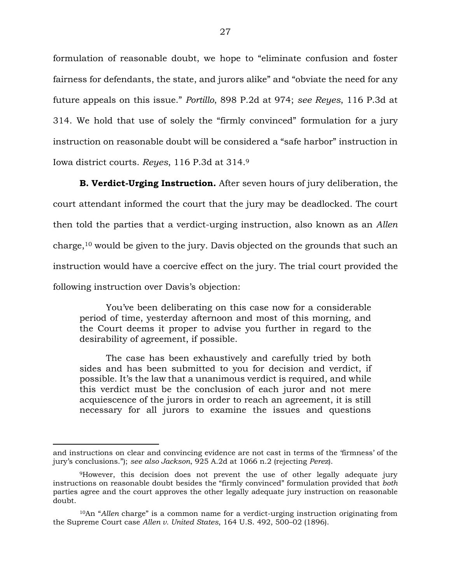formulation of reasonable doubt, we hope to "eliminate confusion and foster fairness for defendants, the state, and jurors alike" and "obviate the need for any future appeals on this issue." *Portillo*, 898 P.2d at 974; *see Reyes*, 116 P.3d at 314. We hold that use of solely the "firmly convinced" formulation for a jury instruction on reasonable doubt will be considered a "safe harbor" instruction in Iowa district courts. *Reyes*, 116 P.3d at 314.<sup>9</sup>

**B. Verdict-Urging Instruction.** After seven hours of jury deliberation, the court attendant informed the court that the jury may be deadlocked. The court then told the parties that a verdict-urging instruction, also known as an *Allen* charge,10 would be given to the jury. Davis objected on the grounds that such an instruction would have a coercive effect on the jury. The trial court provided the following instruction over Davis's objection:

You've been deliberating on this case now for a considerable period of time, yesterday afternoon and most of this morning, and the Court deems it proper to advise you further in regard to the desirability of agreement, if possible.

The case has been exhaustively and carefully tried by both sides and has been submitted to you for decision and verdict, if possible. It's the law that a unanimous verdict is required, and while this verdict must be the conclusion of each juror and not mere acquiescence of the jurors in order to reach an agreement, it is still necessary for all jurors to examine the issues and questions

and instructions on clear and convincing evidence are not cast in terms of the 'firmness' of the jury's conclusions."); *see also Jackson*, 925 A.2d at 1066 n.2 (rejecting *Perez*).

<sup>9</sup>However, this decision does not prevent the use of other legally adequate jury instructions on reasonable doubt besides the "firmly convinced" formulation provided that *both* parties agree and the court approves the other legally adequate jury instruction on reasonable doubt.

<sup>10</sup>An "*Allen* charge" is a common name for a verdict-urging instruction originating from the Supreme Court case *Allen v. United States*, 164 U.S. 492, 500–02 (1896).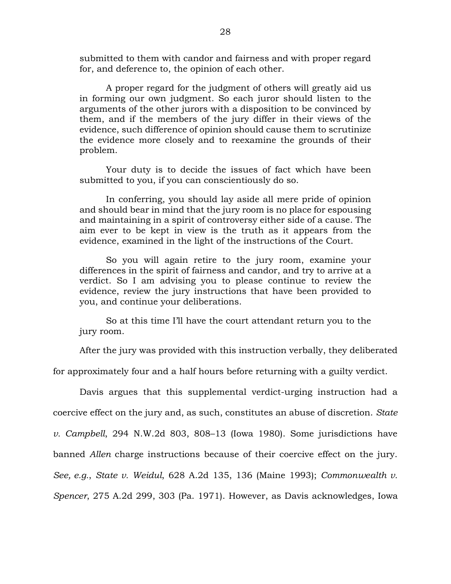submitted to them with candor and fairness and with proper regard for, and deference to, the opinion of each other.

A proper regard for the judgment of others will greatly aid us in forming our own judgment. So each juror should listen to the arguments of the other jurors with a disposition to be convinced by them, and if the members of the jury differ in their views of the evidence, such difference of opinion should cause them to scrutinize the evidence more closely and to reexamine the grounds of their problem.

Your duty is to decide the issues of fact which have been submitted to you, if you can conscientiously do so.

In conferring, you should lay aside all mere pride of opinion and should bear in mind that the jury room is no place for espousing and maintaining in a spirit of controversy either side of a cause. The aim ever to be kept in view is the truth as it appears from the evidence, examined in the light of the instructions of the Court.

So you will again retire to the jury room, examine your differences in the spirit of fairness and candor, and try to arrive at a verdict. So I am advising you to please continue to review the evidence, review the jury instructions that have been provided to you, and continue your deliberations.

So at this time I'll have the court attendant return you to the jury room.

After the jury was provided with this instruction verbally, they deliberated

for approximately four and a half hours before returning with a guilty verdict.

Davis argues that this supplemental verdict-urging instruction had a coercive effect on the jury and, as such, constitutes an abuse of discretion. *State v. Campbell*, 294 N.W.2d 803, 808–13 (Iowa 1980). Some jurisdictions have banned *Allen* charge instructions because of their coercive effect on the jury. *See, e.g.*, *State v. Weidul*, 628 A.2d 135, 136 (Maine 1993); *Commonwealth v. Spencer*, 275 A.2d 299, 303 (Pa. 1971). However, as Davis acknowledges, Iowa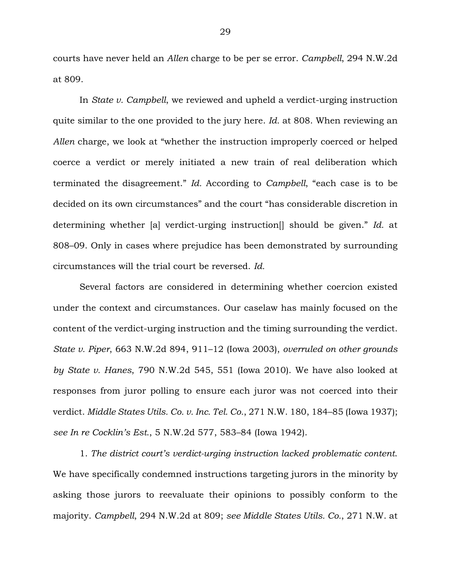courts have never held an *Allen* charge to be per se error. *Campbell*, 294 N.W.2d at 809.

In *State v. Campbell*, we reviewed and upheld a verdict-urging instruction quite similar to the one provided to the jury here. *Id.* at 808. When reviewing an *Allen* charge, we look at "whether the instruction improperly coerced or helped coerce a verdict or merely initiated a new train of real deliberation which terminated the disagreement." *Id.* According to *Campbell*, "each case is to be decided on its own circumstances" and the court "has considerable discretion in determining whether [a] verdict-urging instruction[] should be given." *Id.* at 808–09. Only in cases where prejudice has been demonstrated by surrounding circumstances will the trial court be reversed. *Id.*

Several factors are considered in determining whether coercion existed under the context and circumstances. Our caselaw has mainly focused on the content of the verdict-urging instruction and the timing surrounding the verdict. *State v. Piper*, 663 N.W.2d 894, 911–12 (Iowa 2003), *overruled on other grounds by State v. Hanes*, 790 N.W.2d 545, 551 (Iowa 2010). We have also looked at responses from juror polling to ensure each juror was not coerced into their verdict. *Middle States Utils. Co. v. Inc. Tel. Co.*, 271 N.W. 180, 184–85 (Iowa 1937); *see In re Cocklin's Est.*, 5 N.W.2d 577, 583–84 (Iowa 1942).

1. *The district court's verdict-urging instruction lacked problematic content*. We have specifically condemned instructions targeting jurors in the minority by asking those jurors to reevaluate their opinions to possibly conform to the majority. *Campbell*, 294 N.W.2d at 809; *see Middle States Utils. Co.*, 271 N.W. at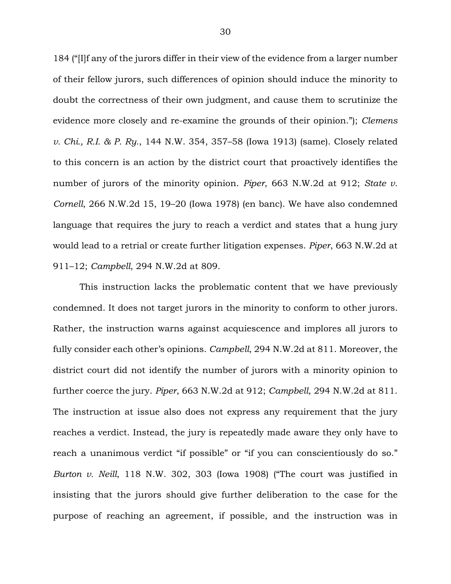184 ("[I]f any of the jurors differ in their view of the evidence from a larger number of their fellow jurors, such differences of opinion should induce the minority to doubt the correctness of their own judgment, and cause them to scrutinize the evidence more closely and re-examine the grounds of their opinion."); *Clemens v. Chi., R.I. & P. Ry.*, 144 N.W. 354, 357–58 (Iowa 1913) (same). Closely related to this concern is an action by the district court that proactively identifies the number of jurors of the minority opinion. *Piper*, 663 N.W.2d at 912; *State v. Cornell*, 266 N.W.2d 15, 19–20 (Iowa 1978) (en banc). We have also condemned language that requires the jury to reach a verdict and states that a hung jury would lead to a retrial or create further litigation expenses. *Piper*, 663 N.W.2d at 911–12; *Campbell*, 294 N.W.2d at 809.

This instruction lacks the problematic content that we have previously condemned. It does not target jurors in the minority to conform to other jurors. Rather, the instruction warns against acquiescence and implores all jurors to fully consider each other's opinions. *Campbell*, 294 N.W.2d at 811. Moreover, the district court did not identify the number of jurors with a minority opinion to further coerce the jury. *Piper*, 663 N.W.2d at 912; *Campbell*, 294 N.W.2d at 811. The instruction at issue also does not express any requirement that the jury reaches a verdict. Instead, the jury is repeatedly made aware they only have to reach a unanimous verdict "if possible" or "if you can conscientiously do so." *Burton v. Neill*, 118 N.W. 302, 303 (Iowa 1908) ("The court was justified in insisting that the jurors should give further deliberation to the case for the purpose of reaching an agreement, if possible, and the instruction was in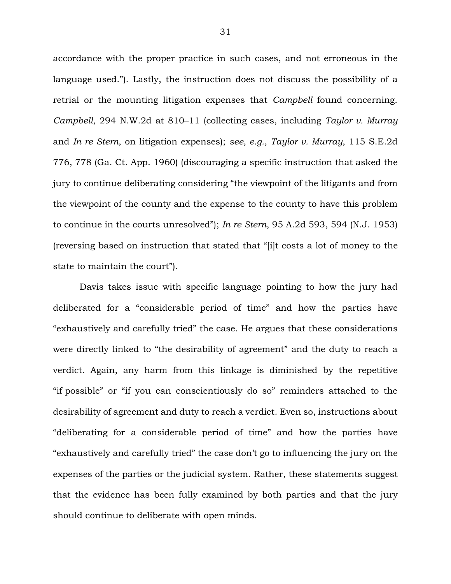accordance with the proper practice in such cases, and not erroneous in the language used."). Lastly, the instruction does not discuss the possibility of a retrial or the mounting litigation expenses that *Campbell* found concerning. *Campbell*, 294 N.W.2d at 810–11 (collecting cases, including *Taylor v. Murray*  and *In re Stern*, on litigation expenses); *see, e.g.*, *Taylor v. Murray*, 115 S.E.2d 776, 778 (Ga. Ct. App. 1960) (discouraging a specific instruction that asked the jury to continue deliberating considering "the viewpoint of the litigants and from the viewpoint of the county and the expense to the county to have this problem to continue in the courts unresolved"); *In re Stern*, 95 A.2d 593, 594 (N.J. 1953) (reversing based on instruction that stated that "[i]t costs a lot of money to the state to maintain the court").

Davis takes issue with specific language pointing to how the jury had deliberated for a "considerable period of time" and how the parties have "exhaustively and carefully tried" the case. He argues that these considerations were directly linked to "the desirability of agreement" and the duty to reach a verdict. Again, any harm from this linkage is diminished by the repetitive "if possible" or "if you can conscientiously do so" reminders attached to the desirability of agreement and duty to reach a verdict. Even so, instructions about "deliberating for a considerable period of time" and how the parties have "exhaustively and carefully tried" the case don't go to influencing the jury on the expenses of the parties or the judicial system. Rather, these statements suggest that the evidence has been fully examined by both parties and that the jury should continue to deliberate with open minds.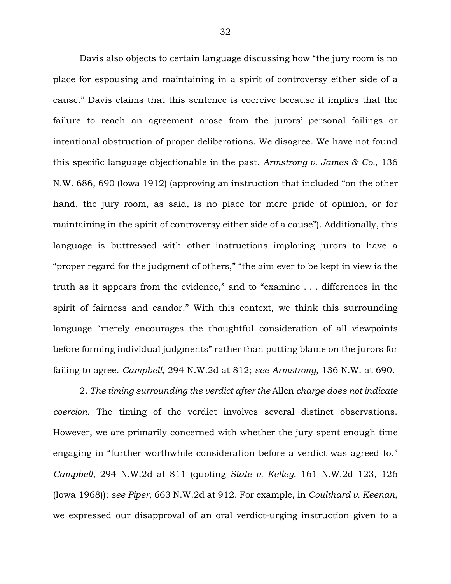Davis also objects to certain language discussing how "the jury room is no place for espousing and maintaining in a spirit of controversy either side of a cause." Davis claims that this sentence is coercive because it implies that the failure to reach an agreement arose from the jurors' personal failings or intentional obstruction of proper deliberations. We disagree. We have not found this specific language objectionable in the past. *Armstrong v. James & Co.*, 136 N.W. 686, 690 (Iowa 1912) (approving an instruction that included "on the other hand, the jury room, as said, is no place for mere pride of opinion, or for maintaining in the spirit of controversy either side of a cause"). Additionally, this language is buttressed with other instructions imploring jurors to have a "proper regard for the judgment of others," "the aim ever to be kept in view is the truth as it appears from the evidence," and to "examine . . . differences in the spirit of fairness and candor." With this context, we think this surrounding language "merely encourages the thoughtful consideration of all viewpoints before forming individual judgments" rather than putting blame on the jurors for failing to agree. *Campbell*, 294 N.W.2d at 812; *see Armstrong*, 136 N.W. at 690.

2. *The timing surrounding the verdict after the* Allen *charge does not indicate coercion.* The timing of the verdict involves several distinct observations. However, we are primarily concerned with whether the jury spent enough time engaging in "further worthwhile consideration before a verdict was agreed to." *Campbell*, 294 N.W.2d at 811 (quoting *State v. Kelley*, 161 N.W.2d 123, 126 (Iowa 1968)); *see Piper*, 663 N.W.2d at 912. For example, in *Coulthard v. Keenan*, we expressed our disapproval of an oral verdict-urging instruction given to a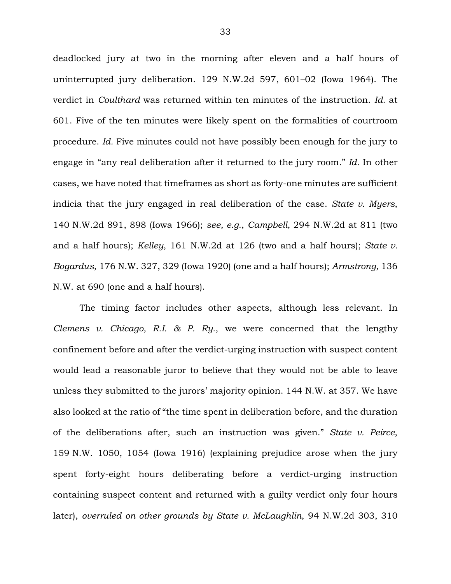deadlocked jury at two in the morning after eleven and a half hours of uninterrupted jury deliberation. 129 N.W.2d 597, 601–02 (Iowa 1964). The verdict in *Coulthard* was returned within ten minutes of the instruction. *Id.* at 601. Five of the ten minutes were likely spent on the formalities of courtroom procedure. *Id.* Five minutes could not have possibly been enough for the jury to engage in "any real deliberation after it returned to the jury room." *Id.* In other cases, we have noted that timeframes as short as forty-one minutes are sufficient indicia that the jury engaged in real deliberation of the case. *State v. Myers*, 140 N.W.2d 891, 898 (Iowa 1966); *see, e.g.*, *Campbell*, 294 N.W.2d at 811 (two and a half hours); *Kelley*, 161 N.W.2d at 126 (two and a half hours); *State v. Bogardus*, 176 N.W. 327, 329 (Iowa 1920) (one and a half hours); *Armstrong*, 136 N.W. at 690 (one and a half hours).

The timing factor includes other aspects, although less relevant. In *Clemens v. Chicago, R.I. & P. Ry.*, we were concerned that the lengthy confinement before and after the verdict-urging instruction with suspect content would lead a reasonable juror to believe that they would not be able to leave unless they submitted to the jurors' majority opinion. 144 N.W. at 357. We have also looked at the ratio of "the time spent in deliberation before, and the duration of the deliberations after, such an instruction was given." *State v. Peirce*, 159 N.W. 1050, 1054 (Iowa 1916) (explaining prejudice arose when the jury spent forty-eight hours deliberating before a verdict-urging instruction containing suspect content and returned with a guilty verdict only four hours later), *overruled on other grounds by State v. McLaughlin*, 94 N.W.2d 303, 310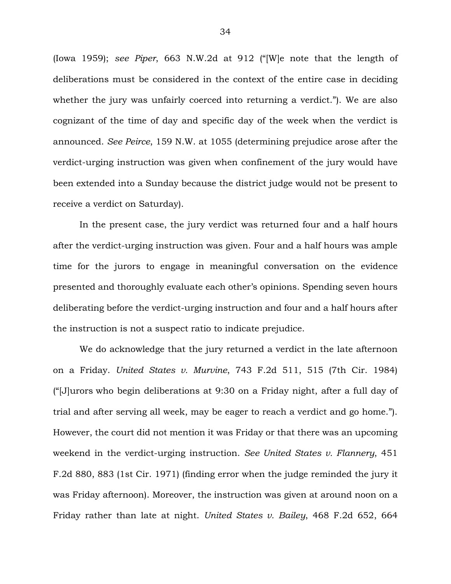(Iowa 1959); *see Piper*, 663 N.W.2d at 912 ("[W]e note that the length of deliberations must be considered in the context of the entire case in deciding whether the jury was unfairly coerced into returning a verdict."). We are also cognizant of the time of day and specific day of the week when the verdict is announced. *See Peirce*, 159 N.W. at 1055 (determining prejudice arose after the verdict-urging instruction was given when confinement of the jury would have been extended into a Sunday because the district judge would not be present to receive a verdict on Saturday).

In the present case, the jury verdict was returned four and a half hours after the verdict-urging instruction was given. Four and a half hours was ample time for the jurors to engage in meaningful conversation on the evidence presented and thoroughly evaluate each other's opinions. Spending seven hours deliberating before the verdict-urging instruction and four and a half hours after the instruction is not a suspect ratio to indicate prejudice.

We do acknowledge that the jury returned a verdict in the late afternoon on a Friday. *United States v. Murvine*, 743 F.2d 511, 515 (7th Cir. 1984) ("[J]urors who begin deliberations at 9:30 on a Friday night, after a full day of trial and after serving all week, may be eager to reach a verdict and go home."). However, the court did not mention it was Friday or that there was an upcoming weekend in the verdict-urging instruction. *See United States v. Flannery*, 451 F.2d 880, 883 (1st Cir. 1971) (finding error when the judge reminded the jury it was Friday afternoon). Moreover, the instruction was given at around noon on a Friday rather than late at night. *United States v. Bailey*, 468 F.2d 652, 664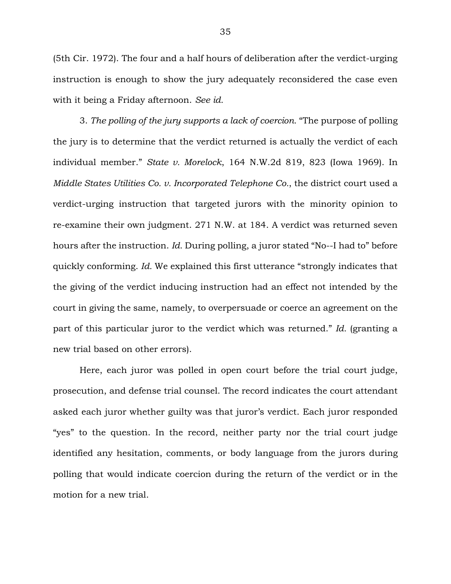(5th Cir. 1972). The four and a half hours of deliberation after the verdict-urging instruction is enough to show the jury adequately reconsidered the case even with it being a Friday afternoon. *See id.*

3. *The polling of the jury supports a lack of coercion.* "The purpose of polling the jury is to determine that the verdict returned is actually the verdict of each individual member." *State v. Morelock*, 164 N.W.2d 819, 823 (Iowa 1969). In *Middle States Utilities Co. v. Incorporated Telephone Co.*, the district court used a verdict-urging instruction that targeted jurors with the minority opinion to re-examine their own judgment. 271 N.W. at 184. A verdict was returned seven hours after the instruction. *Id.* During polling, a juror stated "No--I had to" before quickly conforming. *Id.* We explained this first utterance "strongly indicates that the giving of the verdict inducing instruction had an effect not intended by the court in giving the same, namely, to overpersuade or coerce an agreement on the part of this particular juror to the verdict which was returned." *Id.* (granting a new trial based on other errors).

Here, each juror was polled in open court before the trial court judge, prosecution, and defense trial counsel. The record indicates the court attendant asked each juror whether guilty was that juror's verdict. Each juror responded "yes" to the question. In the record, neither party nor the trial court judge identified any hesitation, comments, or body language from the jurors during polling that would indicate coercion during the return of the verdict or in the motion for a new trial.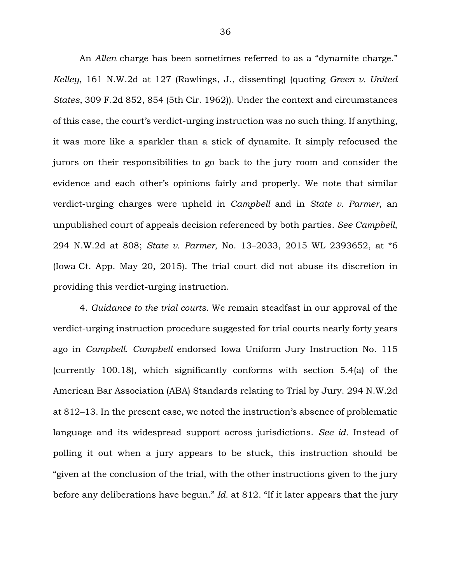An *Allen* charge has been sometimes referred to as a "dynamite charge." *Kelley*, 161 N.W.2d at 127 (Rawlings, J., dissenting) (quoting *Green v. United States*, 309 F.2d 852, 854 (5th Cir. 1962)). Under the context and circumstances of this case, the court's verdict-urging instruction was no such thing. If anything, it was more like a sparkler than a stick of dynamite. It simply refocused the jurors on their responsibilities to go back to the jury room and consider the evidence and each other's opinions fairly and properly. We note that similar verdict-urging charges were upheld in *Campbell* and in *State v. Parmer*, an unpublished court of appeals decision referenced by both parties. *See Campbell*, 294 N.W.2d at 808; *State v. Parmer*, No. 13–2033, 2015 WL 2393652, at \*6 (Iowa Ct. App. May 20, 2015). The trial court did not abuse its discretion in providing this verdict-urging instruction.

4. *Guidance to the trial courts.* We remain steadfast in our approval of the verdict-urging instruction procedure suggested for trial courts nearly forty years ago in *Campbell*. *Campbell* endorsed Iowa Uniform Jury Instruction No. 115 (currently 100.18), which significantly conforms with section 5.4(a) of the American Bar Association (ABA) Standards relating to Trial by Jury. 294 N.W.2d at 812–13. In the present case, we noted the instruction's absence of problematic language and its widespread support across jurisdictions. *See id.* Instead of polling it out when a jury appears to be stuck, this instruction should be "given at the conclusion of the trial, with the other instructions given to the jury before any deliberations have begun." *Id.* at 812. "If it later appears that the jury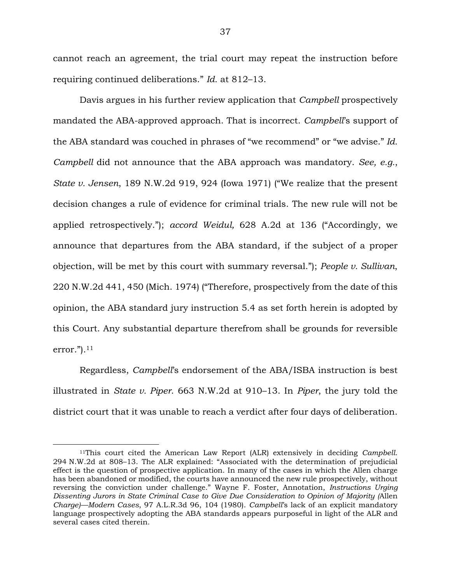cannot reach an agreement, the trial court may repeat the instruction before requiring continued deliberations." *Id.* at 812–13.

Davis argues in his further review application that *Campbell* prospectively mandated the ABA-approved approach. That is incorrect. *Campbell*'s support of the ABA standard was couched in phrases of "we recommend" or "we advise." *Id. Campbell* did not announce that the ABA approach was mandatory. *See, e.g.*, *State v. Jensen*, 189 N.W.2d 919, 924 (Iowa 1971) ("We realize that the present decision changes a rule of evidence for criminal trials. The new rule will not be applied retrospectively."); *accord Weidul,* 628 A.2d at 136 ("Accordingly, we announce that departures from the ABA standard, if the subject of a proper objection, will be met by this court with summary reversal."); *People v. Sullivan*, 220 N.W.2d 441, 450 (Mich. 1974) ("Therefore, prospectively from the date of this opinion, the ABA standard jury instruction 5.4 as set forth herein is adopted by this Court. Any substantial departure therefrom shall be grounds for reversible error." $)$ .<sup>11</sup>

Regardless, *Campbell*'s endorsement of the ABA/ISBA instruction is best illustrated in *State v. Piper*. 663 N.W.2d at 910–13. In *Piper*, the jury told the district court that it was unable to reach a verdict after four days of deliberation.

<sup>11</sup>This court cited the American Law Report (ALR) extensively in deciding *Campbell*. 294 N.W.2d at 808–13. The ALR explained: "Associated with the determination of prejudicial effect is the question of prospective application. In many of the cases in which the Allen charge has been abandoned or modified, the courts have announced the new rule prospectively, without reversing the conviction under challenge." Wayne F. Foster, Annotation, *Instructions Urging Dissenting Jurors in State Criminal Case to Give Due Consideration to Opinion of Majority (*Allen *Charge)—Modern Cases*, 97 A.L.R.3d 96, 104 (1980). *Campbell*'s lack of an explicit mandatory language prospectively adopting the ABA standards appears purposeful in light of the ALR and several cases cited therein.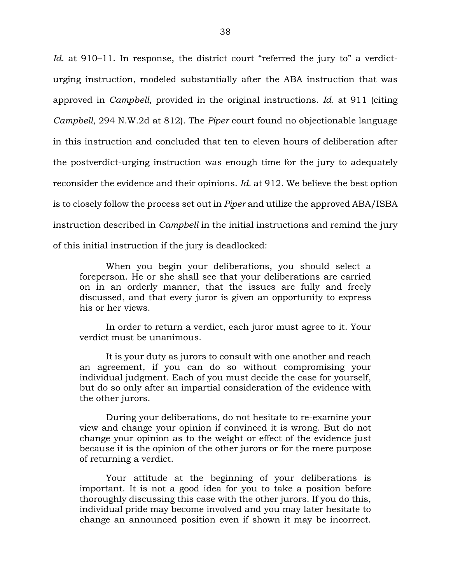*Id.* at 910–11. In response, the district court "referred the jury to" a verdicturging instruction, modeled substantially after the ABA instruction that was approved in *Campbell*, provided in the original instructions. *Id.* at 911 (citing *Campbell*, 294 N.W.2d at 812). The *Piper* court found no objectionable language in this instruction and concluded that ten to eleven hours of deliberation after the postverdict-urging instruction was enough time for the jury to adequately reconsider the evidence and their opinions. *Id.* at 912. We believe the best option is to closely follow the process set out in *Piper* and utilize the approved ABA/ISBA instruction described in *Campbell* in the initial instructions and remind the jury of this initial instruction if the jury is deadlocked:

When you begin your deliberations, you should select a foreperson. He or she shall see that your deliberations are carried on in an orderly manner, that the issues are fully and freely discussed, and that every juror is given an opportunity to express his or her views.

In order to return a verdict, each juror must agree to it. Your verdict must be unanimous.

It is your duty as jurors to consult with one another and reach an agreement, if you can do so without compromising your individual judgment. Each of you must decide the case for yourself, but do so only after an impartial consideration of the evidence with the other jurors.

During your deliberations, do not hesitate to re-examine your view and change your opinion if convinced it is wrong. But do not change your opinion as to the weight or effect of the evidence just because it is the opinion of the other jurors or for the mere purpose of returning a verdict.

Your attitude at the beginning of your deliberations is important. It is not a good idea for you to take a position before thoroughly discussing this case with the other jurors. If you do this, individual pride may become involved and you may later hesitate to change an announced position even if shown it may be incorrect.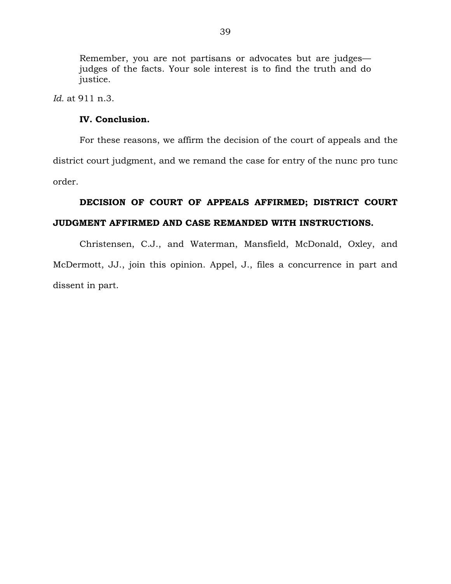Remember, you are not partisans or advocates but are judges judges of the facts. Your sole interest is to find the truth and do justice.

*Id.* at 911 n.3.

## **IV. Conclusion.**

For these reasons, we affirm the decision of the court of appeals and the district court judgment, and we remand the case for entry of the nunc pro tunc order.

# **DECISION OF COURT OF APPEALS AFFIRMED; DISTRICT COURT JUDGMENT AFFIRMED AND CASE REMANDED WITH INSTRUCTIONS.**

Christensen, C.J., and Waterman, Mansfield, McDonald, Oxley, and McDermott, JJ., join this opinion. Appel, J., files a concurrence in part and dissent in part.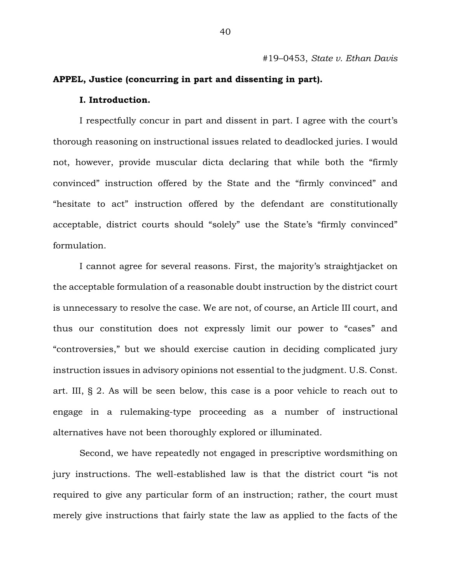#19–0453, *State v. Ethan Davis* 

## **APPEL, Justice (concurring in part and dissenting in part).**

#### **I. Introduction.**

I respectfully concur in part and dissent in part. I agree with the court's thorough reasoning on instructional issues related to deadlocked juries. I would not, however, provide muscular dicta declaring that while both the "firmly convinced" instruction offered by the State and the "firmly convinced" and "hesitate to act" instruction offered by the defendant are constitutionally acceptable, district courts should "solely" use the State's "firmly convinced" formulation.

I cannot agree for several reasons. First, the majority's straightjacket on the acceptable formulation of a reasonable doubt instruction by the district court is unnecessary to resolve the case. We are not, of course, an Article III court, and thus our constitution does not expressly limit our power to "cases" and "controversies," but we should exercise caution in deciding complicated jury instruction issues in advisory opinions not essential to the judgment. U.S. Const. art. III, § 2. As will be seen below, this case is a poor vehicle to reach out to engage in a rulemaking-type proceeding as a number of instructional alternatives have not been thoroughly explored or illuminated.

Second, we have repeatedly not engaged in prescriptive wordsmithing on jury instructions. The well-established law is that the district court "is not required to give any particular form of an instruction; rather, the court must merely give instructions that fairly state the law as applied to the facts of the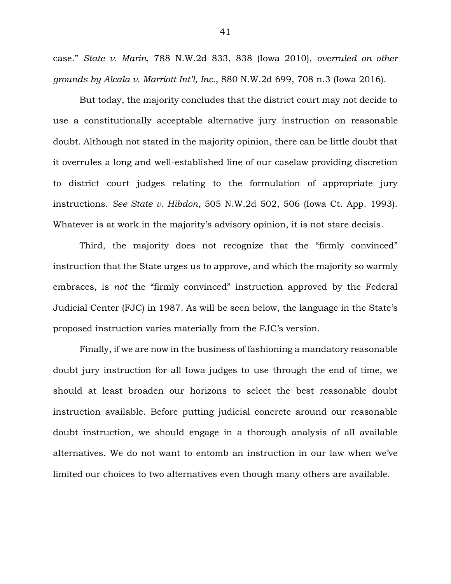case." *State v. Marin*, 788 N.W.2d 833, 838 (Iowa 2010), *overruled on other grounds by Alcala v. Marriott Int'l, Inc.*, 880 N.W.2d 699, 708 n.3 (Iowa 2016).

But today, the majority concludes that the district court may not decide to use a constitutionally acceptable alternative jury instruction on reasonable doubt. Although not stated in the majority opinion, there can be little doubt that it overrules a long and well-established line of our caselaw providing discretion to district court judges relating to the formulation of appropriate jury instructions. *See State v. Hibdon*, 505 N.W.2d 502, 506 (Iowa Ct. App. 1993). Whatever is at work in the majority's advisory opinion, it is not stare decisis.

Third, the majority does not recognize that the "firmly convinced" instruction that the State urges us to approve, and which the majority so warmly embraces, is *not* the "firmly convinced" instruction approved by the Federal Judicial Center (FJC) in 1987. As will be seen below, the language in the State's proposed instruction varies materially from the FJC's version.

Finally, if we are now in the business of fashioning a mandatory reasonable doubt jury instruction for all Iowa judges to use through the end of time, we should at least broaden our horizons to select the best reasonable doubt instruction available. Before putting judicial concrete around our reasonable doubt instruction, we should engage in a thorough analysis of all available alternatives. We do not want to entomb an instruction in our law when we've limited our choices to two alternatives even though many others are available.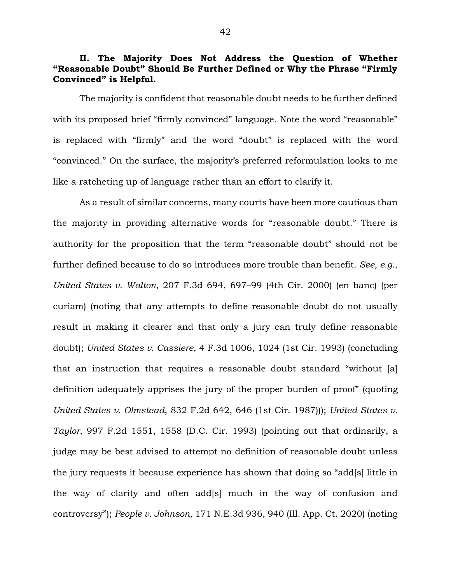# **II. The Majority Does Not Address the Question of Whether "Reasonable Doubt" Should Be Further Defined or Why the Phrase "Firmly Convinced" is Helpful.**

The majority is confident that reasonable doubt needs to be further defined with its proposed brief "firmly convinced" language. Note the word "reasonable" is replaced with "firmly" and the word "doubt" is replaced with the word "convinced." On the surface, the majority's preferred reformulation looks to me like a ratcheting up of language rather than an effort to clarify it.

As a result of similar concerns, many courts have been more cautious than the majority in providing alternative words for "reasonable doubt." There is authority for the proposition that the term "reasonable doubt" should not be further defined because to do so introduces more trouble than benefit. *See, e.g.*, *United States v. Walton*, 207 F.3d 694, 697–99 (4th Cir. 2000) (en banc) (per curiam) (noting that any attempts to define reasonable doubt do not usually result in making it clearer and that only a jury can truly define reasonable doubt); *United States v. Cassiere*, 4 F.3d 1006, 1024 (1st Cir. 1993) (concluding that an instruction that requires a reasonable doubt standard "without [a] definition adequately apprises the jury of the proper burden of proof" (quoting *United States v. Olmstead*, 832 F.2d 642, 646 (1st Cir. 1987))); *United States v. Taylor*, 997 F.2d 1551, 1558 (D.C. Cir. 1993) (pointing out that ordinarily, a judge may be best advised to attempt no definition of reasonable doubt unless the jury requests it because experience has shown that doing so "add[s] little in the way of clarity and often add[s] much in the way of confusion and controversy"); *People v. Johnson*, 171 N.E.3d 936, 940 (Ill. App. Ct. 2020) (noting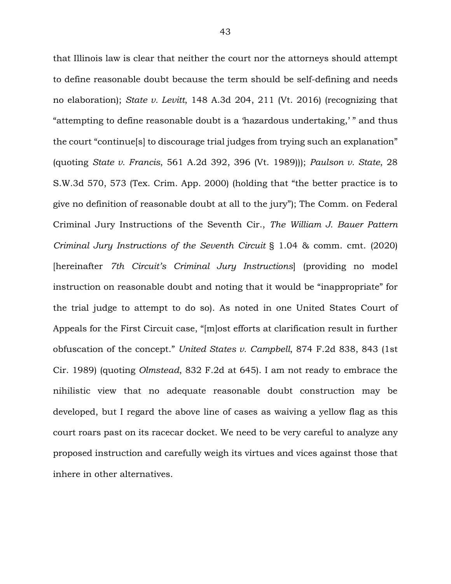that Illinois law is clear that neither the court nor the attorneys should attempt to define reasonable doubt because the term should be self-defining and needs no elaboration); *State v. Levitt*, 148 A.3d 204, 211 (Vt. 2016) (recognizing that "attempting to define reasonable doubt is a 'hazardous undertaking,' " and thus the court "continue[s] to discourage trial judges from trying such an explanation" (quoting *State v. Francis*, 561 A.2d 392, 396 (Vt. 1989))); *Paulson v. State*, 28 S.W.3d 570, 573 (Tex. Crim. App. 2000) (holding that "the better practice is to give no definition of reasonable doubt at all to the jury"); The Comm. on Federal Criminal Jury Instructions of the Seventh Cir., *The William J. Bauer Pattern Criminal Jury Instructions of the Seventh Circuit* § 1.04 & comm. cmt. (2020) [hereinafter *7th Circuit's Criminal Jury Instructions*] (providing no model instruction on reasonable doubt and noting that it would be "inappropriate" for the trial judge to attempt to do so). As noted in one United States Court of Appeals for the First Circuit case, "[m]ost efforts at clarification result in further obfuscation of the concept." *United States v. Campbell*, 874 F.2d 838, 843 (1st Cir. 1989) (quoting *Olmstead*, 832 F.2d at 645). I am not ready to embrace the nihilistic view that no adequate reasonable doubt construction may be developed, but I regard the above line of cases as waiving a yellow flag as this court roars past on its racecar docket. We need to be very careful to analyze any proposed instruction and carefully weigh its virtues and vices against those that inhere in other alternatives.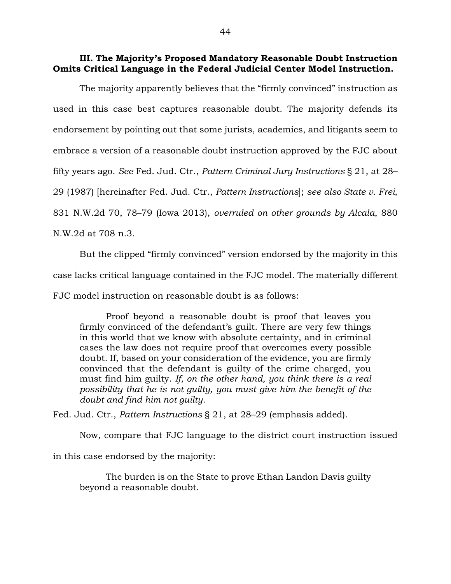## **III. The Majority's Proposed Mandatory Reasonable Doubt Instruction Omits Critical Language in the Federal Judicial Center Model Instruction.**

The majority apparently believes that the "firmly convinced" instruction as used in this case best captures reasonable doubt. The majority defends its endorsement by pointing out that some jurists, academics, and litigants seem to embrace a version of a reasonable doubt instruction approved by the FJC about fifty years ago. *See* Fed. Jud. Ctr., *Pattern Criminal Jury Instructions* § 21, at 28– 29 (1987) [hereinafter Fed. Jud. Ctr., *Pattern Instructions*]; *see also State v. Frei*, 831 N.W.2d 70, 78–79 (Iowa 2013), *overruled on other grounds by Alcala*, 880 N.W.2d at 708 n.3.

But the clipped "firmly convinced" version endorsed by the majority in this case lacks critical language contained in the FJC model. The materially different FJC model instruction on reasonable doubt is as follows:

Proof beyond a reasonable doubt is proof that leaves you firmly convinced of the defendant's guilt. There are very few things in this world that we know with absolute certainty, and in criminal cases the law does not require proof that overcomes every possible doubt. If, based on your consideration of the evidence, you are firmly convinced that the defendant is guilty of the crime charged, you must find him guilty. *If, on the other hand, you think there is a real possibility that he is not guilty, you must give him the benefit of the doubt and find him not guilty*.

Fed. Jud. Ctr., *Pattern Instructions* § 21, at 28–29 (emphasis added).

Now, compare that FJC language to the district court instruction issued

in this case endorsed by the majority:

The burden is on the State to prove Ethan Landon Davis guilty beyond a reasonable doubt.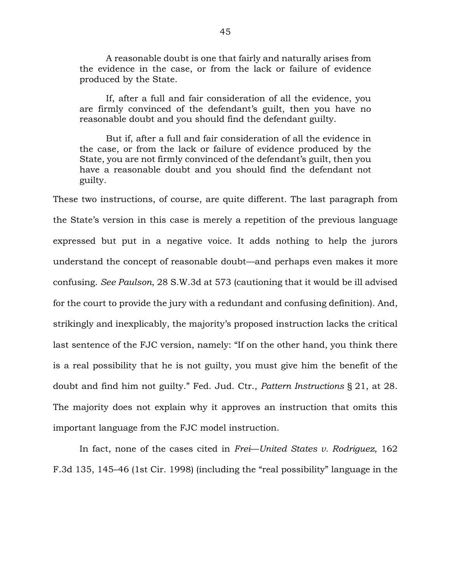A reasonable doubt is one that fairly and naturally arises from the evidence in the case, or from the lack or failure of evidence produced by the State.

If, after a full and fair consideration of all the evidence, you are firmly convinced of the defendant's guilt, then you have no reasonable doubt and you should find the defendant guilty.

But if, after a full and fair consideration of all the evidence in the case, or from the lack or failure of evidence produced by the State, you are not firmly convinced of the defendant's guilt, then you have a reasonable doubt and you should find the defendant not guilty*.*

These two instructions, of course, are quite different. The last paragraph from the State's version in this case is merely a repetition of the previous language expressed but put in a negative voice. It adds nothing to help the jurors understand the concept of reasonable doubt—and perhaps even makes it more confusing. *See Paulson*, 28 S.W.3d at 573 (cautioning that it would be ill advised for the court to provide the jury with a redundant and confusing definition). And, strikingly and inexplicably, the majority's proposed instruction lacks the critical last sentence of the FJC version, namely: "If on the other hand, you think there is a real possibility that he is not guilty, you must give him the benefit of the doubt and find him not guilty." Fed. Jud. Ctr., *Pattern Instructions* § 21, at 28. The majority does not explain why it approves an instruction that omits this important language from the FJC model instruction.

In fact, none of the cases cited in *Frei*—*United States v. Rodriguez*, 162 F.3d 135, 145–46 (1st Cir. 1998) (including the "real possibility" language in the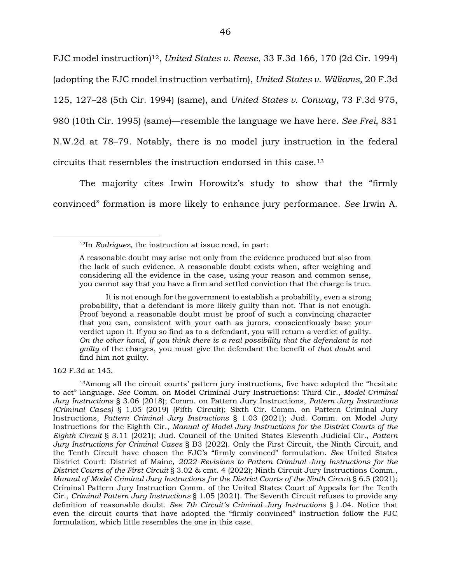FJC model instruction)12, *United States v. Reese*, 33 F.3d 166, 170 (2d Cir. 1994) (adopting the FJC model instruction verbatim), *United States v. Williams*, 20 F.3d 125, 127–28 (5th Cir. 1994) (same), and *United States v. Conway*, 73 F.3d 975, 980 (10th Cir. 1995) (same)—resemble the language we have here. *See Frei*, 831 N.W.2d at 78–79. Notably, there is no model jury instruction in the federal circuits that resembles the instruction endorsed in this case.<sup>13</sup>

The majority cites Irwin Horowitz's study to show that the "firmly convinced" formation is more likely to enhance jury performance. *See* Irwin A.

It is not enough for the government to establish a probability, even a strong probability, that a defendant is more likely guilty than not. That is not enough. Proof beyond a reasonable doubt must be proof of such a convincing character that you can, consistent with your oath as jurors, conscientiously base your verdict upon it. If you so find as to a defendant, you will return a verdict of guilty. *On the other hand, if you think there is a real possibility that the defendant is not guilty* of the charges, you must give the defendant the benefit of *that doubt* and find him not guilty.

162 F.3d at 145.

 $\overline{a}$ 

<sup>13</sup>Among all the circuit courts' pattern jury instructions, five have adopted the "hesitate to act" language. *See* Comm. on Model Criminal Jury Instructions: Third Cir., *Model Criminal Jury Instructions* § 3.06 (2018); Comm. on Pattern Jury Instructions, *Pattern Jury Instructions (Criminal Cases)* § 1.05 (2019) (Fifth Circuit); Sixth Cir. Comm. on Pattern Criminal Jury Instructions, *Pattern Criminal Jury Instructions* § 1.03 (2021); Jud. Comm. on Model Jury Instructions for the Eighth Cir., *Manual of Model Jury Instructions for the District Courts of the Eighth Circuit* § 3.11 (2021); Jud. Council of the United States Eleventh Judicial Cir., *Pattern Jury Instructions for Criminal Cases* § B3 (2022). Only the First Circuit, the Ninth Circuit, and the Tenth Circuit have chosen the FJC's "firmly convinced" formulation. *See* United States District Court: District of Maine, *2022 Revisions to Pattern Criminal Jury Instructions for the District Courts of the First Circuit* § 3.02 & cmt. 4 (2022); Ninth Circuit Jury Instructions Comm., *Manual of Model Criminal Jury Instructions for the District Courts of the Ninth Circuit* § 6.5 (2021); Criminal Pattern Jury Instruction Comm. of the United States Court of Appeals for the Tenth Cir., *Criminal Pattern Jury Instructions* § 1.05 (2021). The Seventh Circuit refuses to provide any definition of reasonable doubt. *See 7th Circuit's Criminal Jury Instructions* § 1.04. Notice that even the circuit courts that have adopted the "firmly convinced" instruction follow the FJC formulation, which little resembles the one in this case.

<sup>12</sup>In *Rodriquez*, the instruction at issue read, in part:

A reasonable doubt may arise not only from the evidence produced but also from the lack of such evidence. A reasonable doubt exists when, after weighing and considering all the evidence in the case, using your reason and common sense, you cannot say that you have a firm and settled conviction that the charge is true.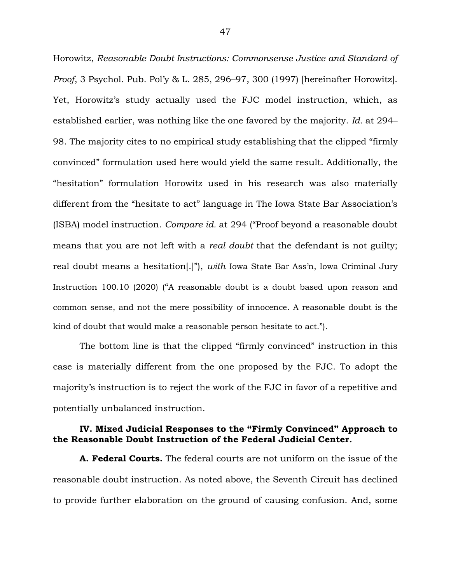Horowitz, *Reasonable Doubt Instructions: Commonsense Justice and Standard of Proof*, 3 Psychol. Pub. Pol'y & L. 285, 296–97, 300 (1997) [hereinafter Horowitz]. Yet, Horowitz's study actually used the FJC model instruction, which, as established earlier, was nothing like the one favored by the majority. *Id.* at 294– 98. The majority cites to no empirical study establishing that the clipped "firmly convinced" formulation used here would yield the same result. Additionally, the "hesitation" formulation Horowitz used in his research was also materially different from the "hesitate to act" language in The Iowa State Bar Association's (ISBA) model instruction. *Compare id.* at 294 ("Proof beyond a reasonable doubt means that you are not left with a *real doubt* that the defendant is not guilty; real doubt means a hesitation[.]"), *with* Iowa State Bar Ass'n, Iowa Criminal Jury Instruction 100.10 (2020) ("A reasonable doubt is a doubt based upon reason and common sense, and not the mere possibility of innocence. A reasonable doubt is the kind of doubt that would make a reasonable person hesitate to act.").

The bottom line is that the clipped "firmly convinced" instruction in this case is materially different from the one proposed by the FJC. To adopt the majority's instruction is to reject the work of the FJC in favor of a repetitive and potentially unbalanced instruction.

## **IV. Mixed Judicial Responses to the "Firmly Convinced" Approach to the Reasonable Doubt Instruction of the Federal Judicial Center.**

**A. Federal Courts.** The federal courts are not uniform on the issue of the reasonable doubt instruction. As noted above, the Seventh Circuit has declined to provide further elaboration on the ground of causing confusion. And, some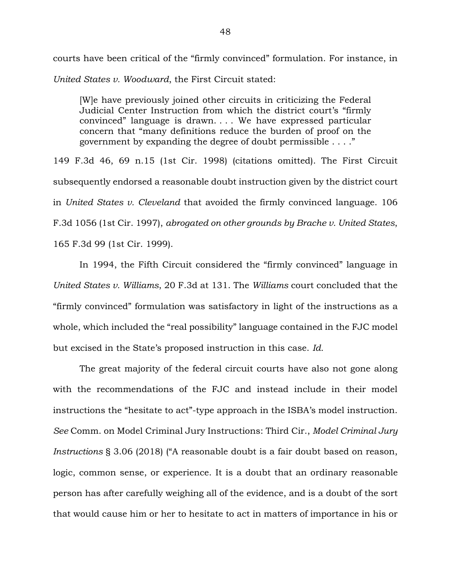courts have been critical of the "firmly convinced" formulation. For instance, in *United States v. Woodward*, the First Circuit stated:

[W]e have previously joined other circuits in criticizing the Federal Judicial Center Instruction from which the district court's "firmly convinced" language is drawn. . . . We have expressed particular concern that "many definitions reduce the burden of proof on the government by expanding the degree of doubt permissible . . . ."

149 F.3d 46, 69 n.15 (1st Cir. 1998) (citations omitted). The First Circuit subsequently endorsed a reasonable doubt instruction given by the district court in *United States v. Cleveland* that avoided the firmly convinced language. 106 F.3d 1056 (1st Cir. 1997), *abrogated on other grounds by Brache v. United States*, 165 F.3d 99 (1st Cir. 1999).

In 1994, the Fifth Circuit considered the "firmly convinced" language in *United States v. Williams*, 20 F.3d at 131. The *Williams* court concluded that the "firmly convinced" formulation was satisfactory in light of the instructions as a whole, which included the "real possibility" language contained in the FJC model but excised in the State's proposed instruction in this case. *Id.*

The great majority of the federal circuit courts have also not gone along with the recommendations of the FJC and instead include in their model instructions the "hesitate to act"-type approach in the ISBA's model instruction. *See* Comm. on Model Criminal Jury Instructions: Third Cir., *Model Criminal Jury Instructions* § 3.06 (2018) ("A reasonable doubt is a fair doubt based on reason, logic, common sense, or experience. It is a doubt that an ordinary reasonable person has after carefully weighing all of the evidence, and is a doubt of the sort that would cause him or her to hesitate to act in matters of importance in his or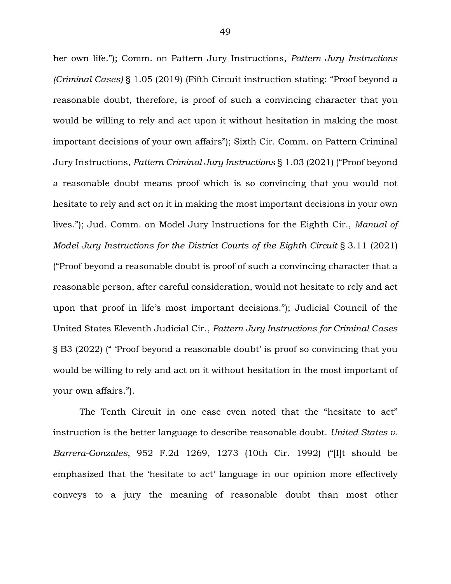her own life."); Comm. on Pattern Jury Instructions, *Pattern Jury Instructions (Criminal Cases)* § 1.05 (2019) (Fifth Circuit instruction stating: "Proof beyond a reasonable doubt, therefore, is proof of such a convincing character that you would be willing to rely and act upon it without hesitation in making the most important decisions of your own affairs"); Sixth Cir. Comm. on Pattern Criminal Jury Instructions, *Pattern Criminal Jury Instructions* § 1.03 (2021) ("Proof beyond a reasonable doubt means proof which is so convincing that you would not hesitate to rely and act on it in making the most important decisions in your own lives."); Jud. Comm. on Model Jury Instructions for the Eighth Cir., *Manual of Model Jury Instructions for the District Courts of the Eighth Circuit* § 3.11 (2021) ("Proof beyond a reasonable doubt is proof of such a convincing character that a reasonable person, after careful consideration, would not hesitate to rely and act upon that proof in life's most important decisions."); Judicial Council of the United States Eleventh Judicial Cir., *Pattern Jury Instructions for Criminal Cases* § B3 (2022) (" 'Proof beyond a reasonable doubt' is proof so convincing that you would be willing to rely and act on it without hesitation in the most important of your own affairs.").

The Tenth Circuit in one case even noted that the "hesitate to act" instruction is the better language to describe reasonable doubt. *United States v. Barrera-Gonzales*, 952 F.2d 1269, 1273 (10th Cir. 1992) ("[I]t should be emphasized that the 'hesitate to act' language in our opinion more effectively conveys to a jury the meaning of reasonable doubt than most other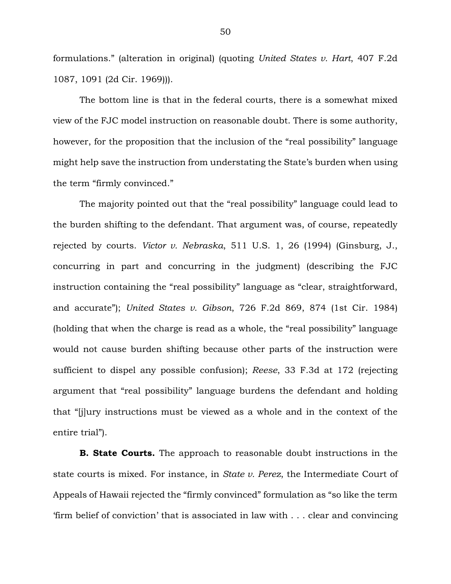formulations." (alteration in original) (quoting *United States v. Hart*, 407 F.2d 1087, 1091 (2d Cir. 1969))).

The bottom line is that in the federal courts, there is a somewhat mixed view of the FJC model instruction on reasonable doubt. There is some authority, however, for the proposition that the inclusion of the "real possibility" language might help save the instruction from understating the State's burden when using the term "firmly convinced."

The majority pointed out that the "real possibility" language could lead to the burden shifting to the defendant. That argument was, of course, repeatedly rejected by courts. *Victor v. Nebraska*, 511 U.S. 1, 26 (1994) (Ginsburg, J., concurring in part and concurring in the judgment) (describing the FJC instruction containing the "real possibility" language as "clear, straightforward, and accurate"); *United States v. Gibson*, 726 F.2d 869, 874 (1st Cir. 1984) (holding that when the charge is read as a whole, the "real possibility" language would not cause burden shifting because other parts of the instruction were sufficient to dispel any possible confusion); *Reese*, 33 F.3d at 172 (rejecting argument that "real possibility" language burdens the defendant and holding that "[j]ury instructions must be viewed as a whole and in the context of the entire trial").

**B. State Courts.** The approach to reasonable doubt instructions in the state courts is mixed. For instance, in *State v. Perez*, the Intermediate Court of Appeals of Hawaii rejected the "firmly convinced" formulation as "so like the term 'firm belief of conviction' that is associated in law with . . . clear and convincing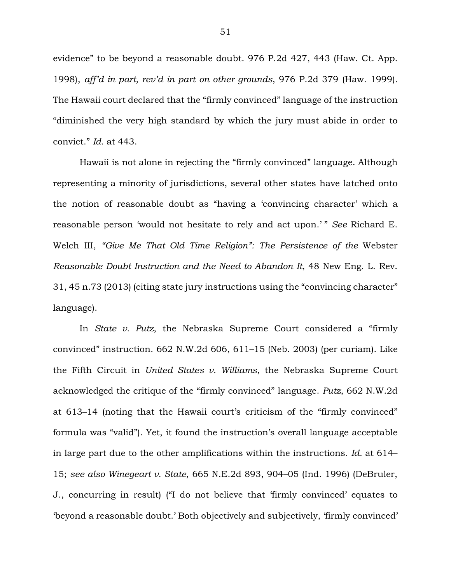evidence" to be beyond a reasonable doubt. 976 P.2d 427, 443 (Haw. Ct. App. 1998), *aff'd in part, rev'd in part on other grounds*, 976 P.2d 379 (Haw. 1999). The Hawaii court declared that the "firmly convinced" language of the instruction "diminished the very high standard by which the jury must abide in order to convict." *Id.* at 443.

Hawaii is not alone in rejecting the "firmly convinced" language. Although representing a minority of jurisdictions, several other states have latched onto the notion of reasonable doubt as "having a 'convincing character' which a reasonable person 'would not hesitate to rely and act upon.' " *See* Richard E. Welch III, *"Give Me That Old Time Religion": The Persistence of the* Webster *Reasonable Doubt Instruction and the Need to Abandon It*, 48 New Eng. L. Rev. 31, 45 n.73 (2013) (citing state jury instructions using the "convincing character" language).

In *State v. Putz*, the Nebraska Supreme Court considered a "firmly convinced" instruction. 662 N.W.2d 606, 611–15 (Neb. 2003) (per curiam). Like the Fifth Circuit in *United States v. Williams*, the Nebraska Supreme Court acknowledged the critique of the "firmly convinced" language. *Putz*, 662 N.W.2d at 613–14 (noting that the Hawaii court's criticism of the "firmly convinced" formula was "valid"). Yet, it found the instruction's overall language acceptable in large part due to the other amplifications within the instructions. *Id.* at 614– 15; *see also Winegeart v. State*, 665 N.E.2d 893, 904–05 (Ind. 1996) (DeBruler, J., concurring in result) ("I do not believe that 'firmly convinced' equates to 'beyond a reasonable doubt.' Both objectively and subjectively, 'firmly convinced'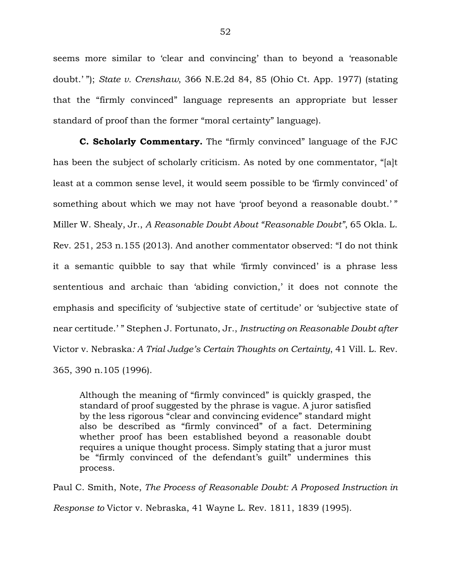seems more similar to 'clear and convincing' than to beyond a 'reasonable doubt.' "); *State v. Crenshaw*, 366 N.E.2d 84, 85 (Ohio Ct. App. 1977) (stating that the "firmly convinced" language represents an appropriate but lesser standard of proof than the former "moral certainty" language).

**C. Scholarly Commentary.** The "firmly convinced" language of the FJC has been the subject of scholarly criticism. As noted by one commentator, "[a]t least at a common sense level, it would seem possible to be 'firmly convinced' of something about which we may not have 'proof beyond a reasonable doubt.' " Miller W. Shealy, Jr., *A Reasonable Doubt About "Reasonable Doubt"*, 65 Okla. L. Rev. 251, 253 n.155 (2013). And another commentator observed: "I do not think it a semantic quibble to say that while 'firmly convinced' is a phrase less sententious and archaic than 'abiding conviction,' it does not connote the emphasis and specificity of 'subjective state of certitude' or 'subjective state of near certitude.' " Stephen J. Fortunato, Jr., *Instructing on Reasonable Doubt after*  Victor v. Nebraska*: A Trial Judge's Certain Thoughts on Certainty*, 41 Vill. L. Rev. 365, 390 n.105 (1996).

Although the meaning of "firmly convinced" is quickly grasped, the standard of proof suggested by the phrase is vague. A juror satisfied by the less rigorous "clear and convincing evidence" standard might also be described as "firmly convinced" of a fact. Determining whether proof has been established beyond a reasonable doubt requires a unique thought process. Simply stating that a juror must be "firmly convinced of the defendant's guilt" undermines this process.

Paul C. Smith, Note, *The Process of Reasonable Doubt: A Proposed Instruction in Response to* Victor v. Nebraska, 41 Wayne L. Rev. 1811, 1839 (1995).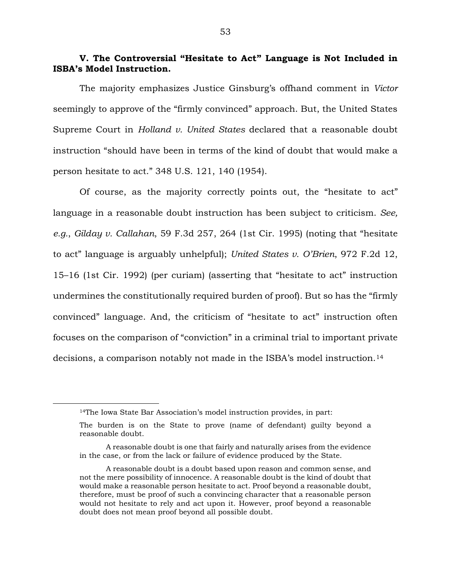# **V. The Controversial "Hesitate to Act" Language is Not Included in ISBA's Model Instruction.**

The majority emphasizes Justice Ginsburg's offhand comment in *Victor*  seemingly to approve of the "firmly convinced" approach. But, the United States Supreme Court in *Holland v. United States* declared that a reasonable doubt instruction "should have been in terms of the kind of doubt that would make a person hesitate to act." 348 U.S. 121, 140 (1954).

Of course, as the majority correctly points out, the "hesitate to act" language in a reasonable doubt instruction has been subject to criticism. *See, e.g.*, *Gilday v. Callahan*, 59 F.3d 257, 264 (1st Cir. 1995) (noting that "hesitate to act" language is arguably unhelpful); *United States v. O'Brien*, 972 F.2d 12, 15–16 (1st Cir. 1992) (per curiam) (asserting that "hesitate to act" instruction undermines the constitutionally required burden of proof). But so has the "firmly convinced" language. And, the criticism of "hesitate to act" instruction often focuses on the comparison of "conviction" in a criminal trial to important private decisions, a comparison notably not made in the ISBA's model instruction.<sup>14</sup>

<sup>14</sup>The Iowa State Bar Association's model instruction provides, in part:

The burden is on the State to prove (name of defendant) guilty beyond a reasonable doubt.

A reasonable doubt is one that fairly and naturally arises from the evidence in the case, or from the lack or failure of evidence produced by the State.

A reasonable doubt is a doubt based upon reason and common sense, and not the mere possibility of innocence. A reasonable doubt is the kind of doubt that would make a reasonable person hesitate to act. Proof beyond a reasonable doubt, therefore, must be proof of such a convincing character that a reasonable person would not hesitate to rely and act upon it. However, proof beyond a reasonable doubt does not mean proof beyond all possible doubt.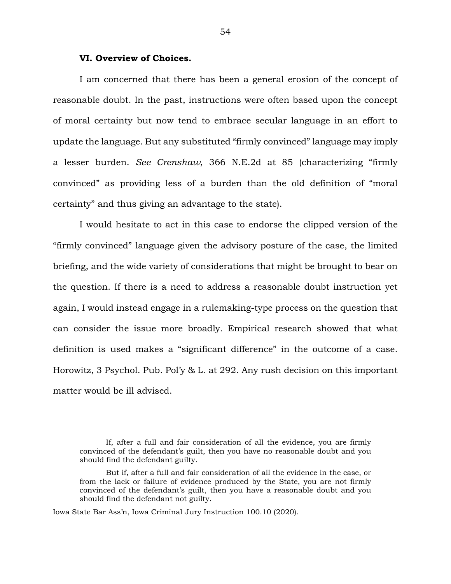## **VI. Overview of Choices.**

I am concerned that there has been a general erosion of the concept of reasonable doubt. In the past, instructions were often based upon the concept of moral certainty but now tend to embrace secular language in an effort to update the language. But any substituted "firmly convinced" language may imply a lesser burden. *See Crenshaw*, 366 N.E.2d at 85 (characterizing "firmly convinced" as providing less of a burden than the old definition of "moral certainty" and thus giving an advantage to the state).

I would hesitate to act in this case to endorse the clipped version of the "firmly convinced" language given the advisory posture of the case, the limited briefing, and the wide variety of considerations that might be brought to bear on the question. If there is a need to address a reasonable doubt instruction yet again, I would instead engage in a rulemaking-type process on the question that can consider the issue more broadly. Empirical research showed that what definition is used makes a "significant difference" in the outcome of a case. Horowitz, 3 Psychol. Pub. Pol'y & L. at 292. Any rush decision on this important matter would be ill advised.

If, after a full and fair consideration of all the evidence, you are firmly convinced of the defendant's guilt, then you have no reasonable doubt and you should find the defendant guilty.

But if, after a full and fair consideration of all the evidence in the case, or from the lack or failure of evidence produced by the State, you are not firmly convinced of the defendant's guilt, then you have a reasonable doubt and you should find the defendant not guilty.

Iowa State Bar Ass'n, Iowa Criminal Jury Instruction 100.10 (2020).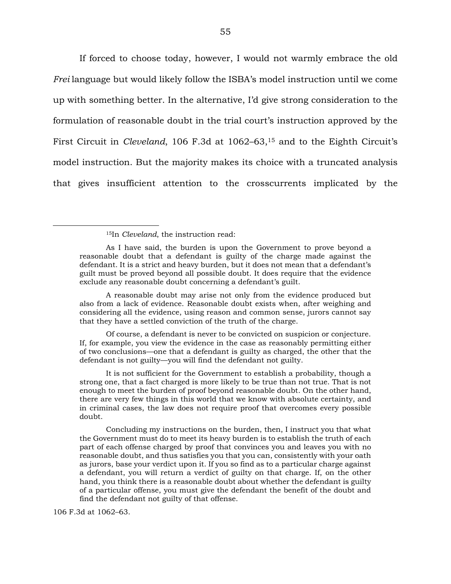If forced to choose today, however, I would not warmly embrace the old *Frei* language but would likely follow the ISBA's model instruction until we come up with something better. In the alternative, I'd give strong consideration to the formulation of reasonable doubt in the trial court's instruction approved by the First Circuit in *Cleveland*, 106 F.3d at 1062–63,<sup>15</sup> and to the Eighth Circuit's model instruction. But the majority makes its choice with a truncated analysis that gives insufficient attention to the crosscurrents implicated by the

<sup>15</sup>In *Cleveland*, the instruction read:

A reasonable doubt may arise not only from the evidence produced but also from a lack of evidence. Reasonable doubt exists when, after weighing and considering all the evidence, using reason and common sense, jurors cannot say that they have a settled conviction of the truth of the charge.

Of course, a defendant is never to be convicted on suspicion or conjecture. If, for example, you view the evidence in the case as reasonably permitting either of two conclusions—one that a defendant is guilty as charged, the other that the defendant is not guilty—you will find the defendant not guilty.

It is not sufficient for the Government to establish a probability, though a strong one, that a fact charged is more likely to be true than not true. That is not enough to meet the burden of proof beyond reasonable doubt. On the other hand, there are very few things in this world that we know with absolute certainty, and in criminal cases, the law does not require proof that overcomes every possible doubt.

Concluding my instructions on the burden, then, I instruct you that what the Government must do to meet its heavy burden is to establish the truth of each part of each offense charged by proof that convinces you and leaves you with no reasonable doubt, and thus satisfies you that you can, consistently with your oath as jurors, base your verdict upon it. If you so find as to a particular charge against a defendant, you will return a verdict of guilty on that charge. If, on the other hand, you think there is a reasonable doubt about whether the defendant is guilty of a particular offense, you must give the defendant the benefit of the doubt and find the defendant not guilty of that offense.

106 F.3d at 1062–63.

As I have said, the burden is upon the Government to prove beyond a reasonable doubt that a defendant is guilty of the charge made against the defendant. It is a strict and heavy burden, but it does not mean that a defendant's guilt must be proved beyond all possible doubt. It does require that the evidence exclude any reasonable doubt concerning a defendant's guilt.